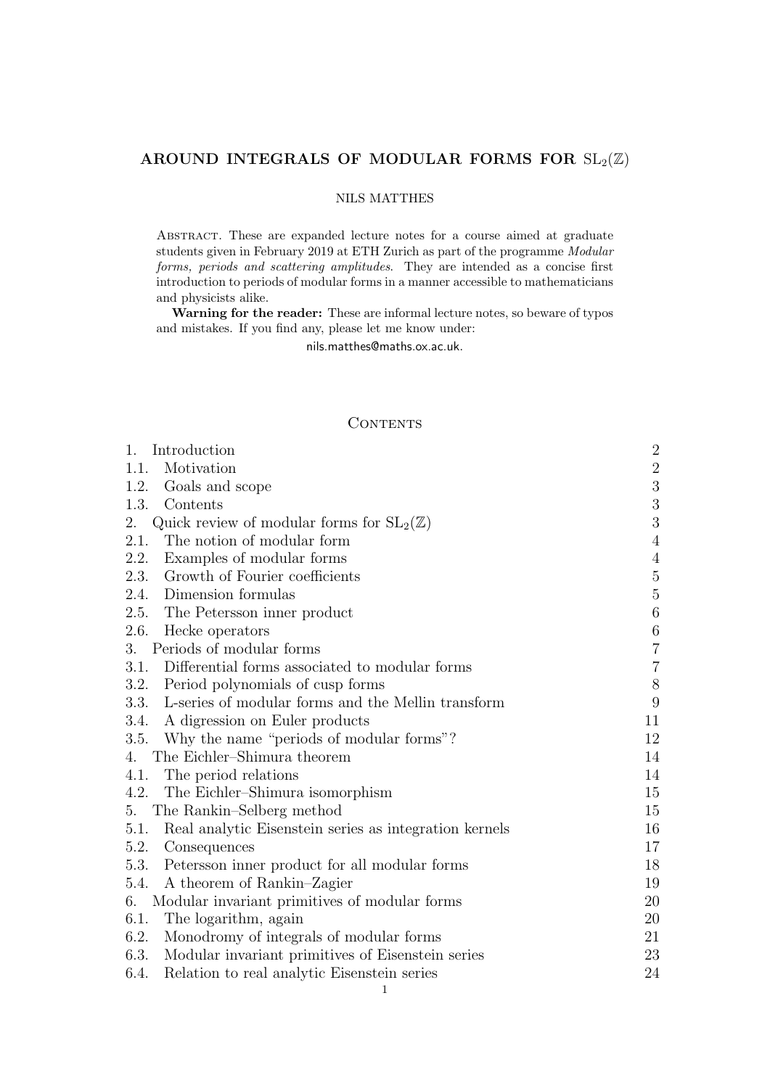# AROUND INTEGRALS OF MODULAR FORMS FOR  $SL_2(\mathbb{Z})$

# NILS MATTHES

Abstract. These are expanded lecture notes for a course aimed at graduate students given in February 2019 at ETH Zurich as part of the programme Modular forms, periods and scattering amplitudes. They are intended as a concise first introduction to periods of modular forms in a manner accessible to mathematicians and physicists alike.

Warning for the reader: These are informal lecture notes, so beware of typos and mistakes. If you find any, please let me know under:

nils.matthes@maths.ox.ac.uk.

# **CONTENTS**

| Introduction<br>$1_{-}$                                        | $\sqrt{2}$       |
|----------------------------------------------------------------|------------------|
| Motivation<br>1.1.                                             | $\sqrt{2}$       |
| 1.2.<br>Goals and scope                                        | $\sqrt{3}$       |
| 1.3.<br>Contents                                               | $\sqrt{3}$       |
| Quick review of modular forms for $SL_2(\mathbb{Z})$<br>2.     | $\sqrt{3}$       |
| 2.1. The notion of modular form                                | $\overline{4}$   |
| Examples of modular forms<br>2.2.                              | $\overline{4}$   |
| Growth of Fourier coefficients<br>2.3.                         | $\mathbf 5$      |
| 2.4.<br>Dimension formulas                                     | $\bf 5$          |
| 2.5. The Petersson inner product                               | $\,6\,$          |
| 2.6.<br>Hecke operators                                        | $\,6\,$          |
| Periods of modular forms<br>3.                                 | $\overline{7}$   |
| 3.1.<br>Differential forms associated to modular forms         | $\sqrt{ }$       |
| 3.2.<br>Period polynomials of cusp forms                       | $8\,$            |
| L-series of modular forms and the Mellin transform<br>3.3.     | $\boldsymbol{9}$ |
| A digression on Euler products<br>3.4.                         | 11               |
| Why the name "periods of modular forms"?<br>3.5.               | 12               |
| The Eichler-Shimura theorem<br>4.                              | 14               |
| 4.1.<br>The period relations                                   | 14               |
| 4.2. The Eichler-Shimura isomorphism                           | 15               |
| The Rankin–Selberg method<br>5.                                | 15               |
| Real analytic Eisenstein series as integration kernels<br>5.1. | 16               |
| 5.2.<br>Consequences                                           | 17               |
| Petersson inner product for all modular forms<br>5.3.          | 18               |
| A theorem of Rankin-Zagier<br>5.4.                             | 19               |
| Modular invariant primitives of modular forms<br>6.            | 20               |
| 6.1.<br>The logarithm, again                                   | 20               |
| 6.2.<br>Monodromy of integrals of modular forms                | 21               |
| Modular invariant primitives of Eisenstein series<br>6.3.      | 23               |
| Relation to real analytic Eisenstein series<br>6.4.            | 24               |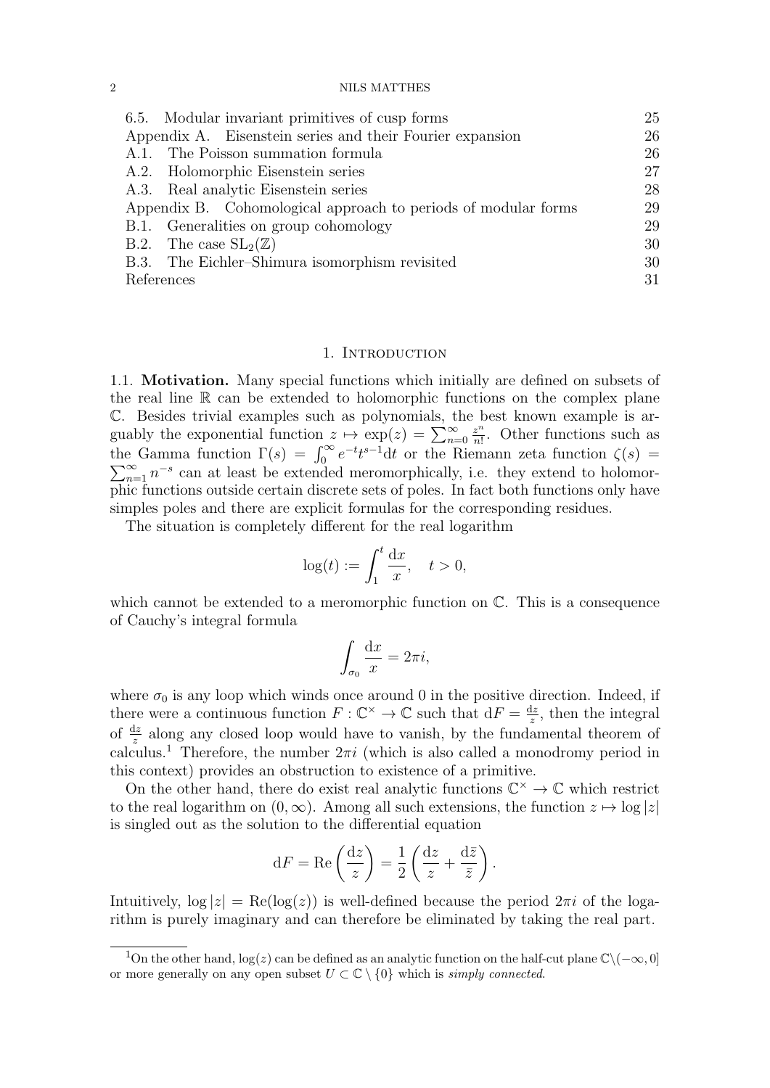| 6.5. Modular invariant primitives of cusp forms                | 25 |
|----------------------------------------------------------------|----|
| Appendix A. Eisenstein series and their Fourier expansion      | 26 |
| A.1. The Poisson summation formula                             | 26 |
| A.2. Holomorphic Eisenstein series                             | 27 |
| A.3. Real analytic Eisenstein series                           | 28 |
| Appendix B. Cohomological approach to periods of modular forms | 29 |
| B.1. Generalities on group cohomology                          | 29 |
| B.2. The case $SL_2(\mathbb{Z})$                               | 30 |
| B.3. The Eichler-Shimura isomorphism revisited                 | 30 |
| References                                                     | 31 |

### 1. INTRODUCTION

1.1. Motivation. Many special functions which initially are defined on subsets of the real line R can be extended to holomorphic functions on the complex plane C. Besides trivial examples such as polynomials, the best known example is arguably the exponential function  $z \mapsto \exp(z) = \sum_{n=0}^{\infty}$  $z^n$  $\frac{z^n}{n!}$ . Other functions such as the Gamma function  $\Gamma(s) = \int_0^\infty e^{-t} t^{s-1} dt$  or the Riemann zeta function  $\zeta(s)$  $\sum_{n=1}^{\infty} n^{-s}$  can at least be extended meromorphically, i.e. they extend to holomorphic functions outside certain discrete sets of poles. In fact both functions only have simples poles and there are explicit formulas for the corresponding residues.

The situation is completely different for the real logarithm

$$
\log(t) := \int_1^t \frac{\mathrm{d}x}{x}, \quad t > 0,
$$

which cannot be extended to a meromorphic function on  $\mathbb{C}$ . This is a consequence of Cauchy's integral formula

$$
\int_{\sigma_0} \frac{\mathrm{d}x}{x} = 2\pi i,
$$

where  $\sigma_0$  is any loop which winds once around 0 in the positive direction. Indeed, if there were a continuous function  $F: \mathbb{C}^{\times} \to \mathbb{C}$  such that  $dF = \frac{dz}{dt}$  $\frac{dz}{z}$ , then the integral of  $\frac{dz}{z}$  along any closed loop would have to vanish, by the fundamental theorem of calculus.<sup>1</sup> Therefore, the number  $2\pi i$  (which is also called a monodromy period in this context) provides an obstruction to existence of a primitive.

On the other hand, there do exist real analytic functions  $\mathbb{C}^{\times} \to \mathbb{C}$  which restrict to the real logarithm on  $(0, \infty)$ . Among all such extensions, the function  $z \mapsto \log |z|$ is singled out as the solution to the differential equation

$$
dF = \text{Re}\left(\frac{dz}{z}\right) = \frac{1}{2}\left(\frac{dz}{z} + \frac{d\bar{z}}{\bar{z}}\right).
$$

Intuitively,  $log |z| = \text{Re}(log(z))$  is well-defined because the period  $2\pi i$  of the logarithm is purely imaginary and can therefore be eliminated by taking the real part.

<sup>&</sup>lt;sup>1</sup>On the other hand,  $log(z)$  can be defined as an analytic function on the half-cut plane  $\mathbb{C}\setminus(-\infty,0]$ or more generally on any open subset  $U \subset \mathbb{C} \setminus \{0\}$  which is simply connected.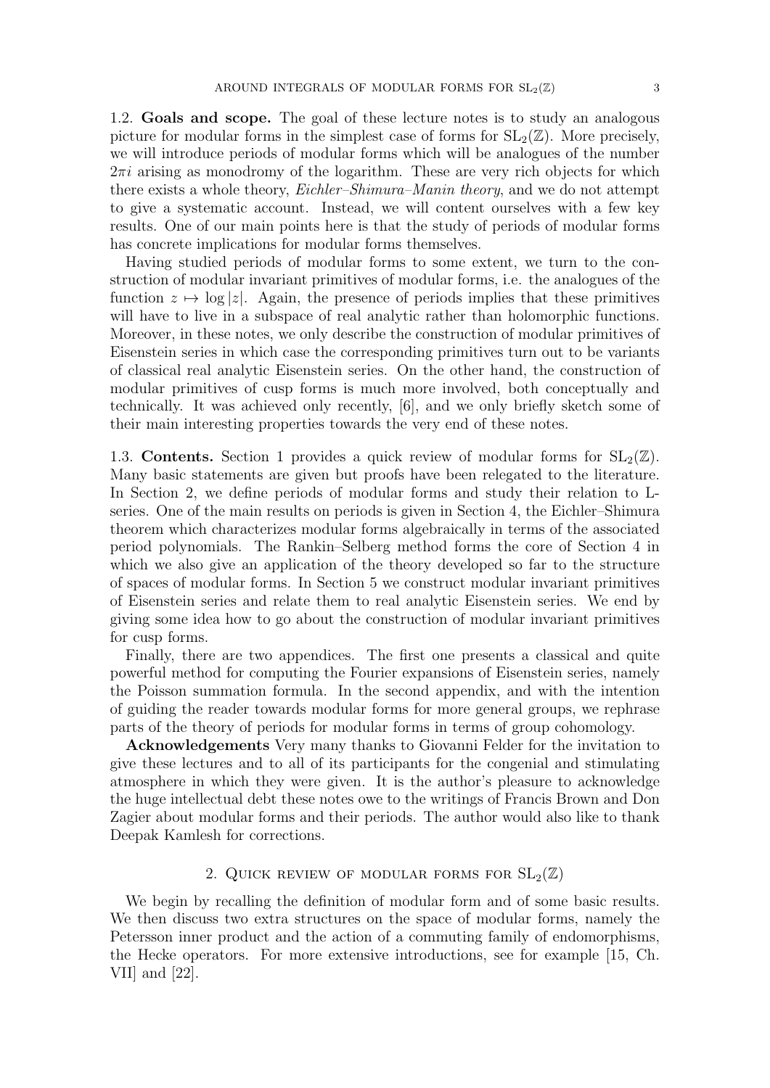1.2. Goals and scope. The goal of these lecture notes is to study an analogous picture for modular forms in the simplest case of forms for  $SL_2(\mathbb{Z})$ . More precisely, we will introduce periods of modular forms which will be analogues of the number  $2\pi i$  arising as monodromy of the logarithm. These are very rich objects for which there exists a whole theory, Eichler–Shimura–Manin theory, and we do not attempt to give a systematic account. Instead, we will content ourselves with a few key results. One of our main points here is that the study of periods of modular forms has concrete implications for modular forms themselves.

Having studied periods of modular forms to some extent, we turn to the construction of modular invariant primitives of modular forms, i.e. the analogues of the function  $z \mapsto \log |z|$ . Again, the presence of periods implies that these primitives will have to live in a subspace of real analytic rather than holomorphic functions. Moreover, in these notes, we only describe the construction of modular primitives of Eisenstein series in which case the corresponding primitives turn out to be variants of classical real analytic Eisenstein series. On the other hand, the construction of modular primitives of cusp forms is much more involved, both conceptually and technically. It was achieved only recently, [6], and we only briefly sketch some of their main interesting properties towards the very end of these notes.

1.3. **Contents.** Section 1 provides a quick review of modular forms for  $SL_2(\mathbb{Z})$ . Many basic statements are given but proofs have been relegated to the literature. In Section 2, we define periods of modular forms and study their relation to Lseries. One of the main results on periods is given in Section 4, the Eichler–Shimura theorem which characterizes modular forms algebraically in terms of the associated period polynomials. The Rankin–Selberg method forms the core of Section 4 in which we also give an application of the theory developed so far to the structure of spaces of modular forms. In Section 5 we construct modular invariant primitives of Eisenstein series and relate them to real analytic Eisenstein series. We end by giving some idea how to go about the construction of modular invariant primitives for cusp forms.

Finally, there are two appendices. The first one presents a classical and quite powerful method for computing the Fourier expansions of Eisenstein series, namely the Poisson summation formula. In the second appendix, and with the intention of guiding the reader towards modular forms for more general groups, we rephrase parts of the theory of periods for modular forms in terms of group cohomology.

Acknowledgements Very many thanks to Giovanni Felder for the invitation to give these lectures and to all of its participants for the congenial and stimulating atmosphere in which they were given. It is the author's pleasure to acknowledge the huge intellectual debt these notes owe to the writings of Francis Brown and Don Zagier about modular forms and their periods. The author would also like to thank Deepak Kamlesh for corrections.

# 2. QUICK REVIEW OF MODULAR FORMS FOR  $SL_2(\mathbb{Z})$

We begin by recalling the definition of modular form and of some basic results. We then discuss two extra structures on the space of modular forms, namely the Petersson inner product and the action of a commuting family of endomorphisms, the Hecke operators. For more extensive introductions, see for example [15, Ch. VII] and [22].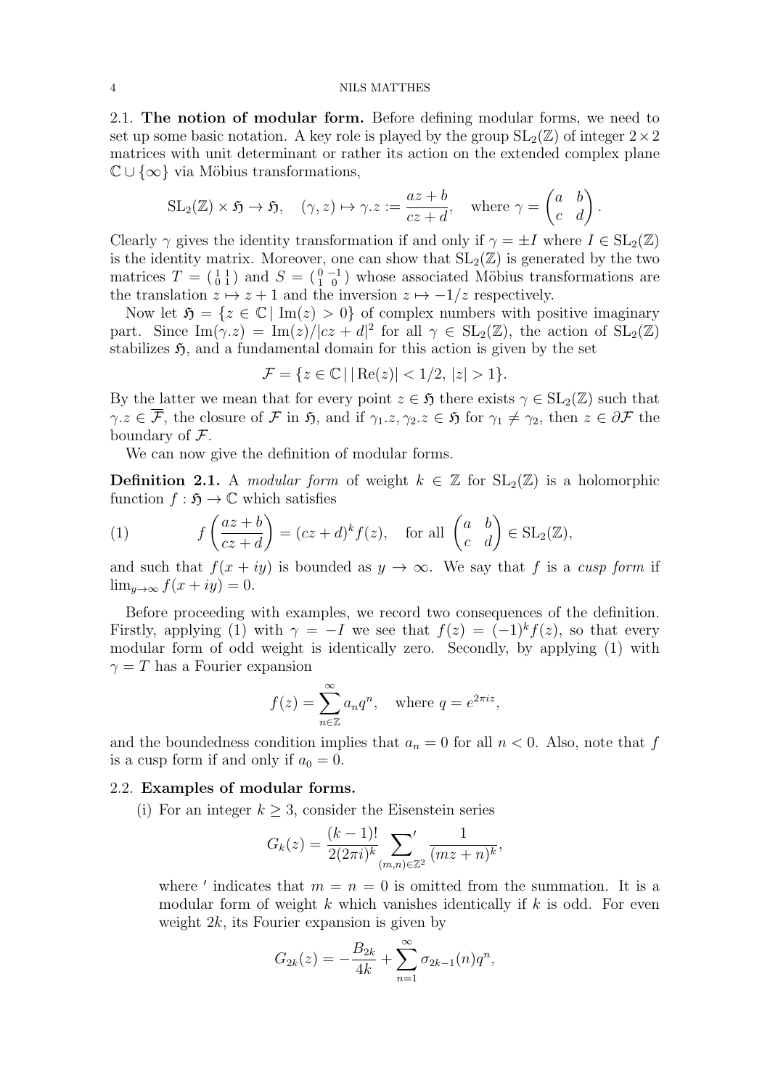2.1. The notion of modular form. Before defining modular forms, we need to set up some basic notation. A key role is played by the group  $SL_2(\mathbb{Z})$  of integer  $2\times 2$ matrices with unit determinant or rather its action on the extended complex plane  $\mathbb{C} \cup \{\infty\}$  via Möbius transformations,

$$
SL_2(\mathbb{Z}) \times \mathfrak{H} \to \mathfrak{H}, \quad (\gamma, z) \mapsto \gamma.z := \frac{az+b}{cz+d}, \quad \text{where } \gamma = \begin{pmatrix} a & b \\ c & d \end{pmatrix}.
$$

Clearly  $\gamma$  gives the identity transformation if and only if  $\gamma = \pm I$  where  $I \in SL_2(\mathbb{Z})$ is the identity matrix. Moreover, one can show that  $SL_2(\mathbb{Z})$  is generated by the two matrices  $T = \begin{pmatrix} 1 & 1 \\ 0 & 1 \end{pmatrix}$  and  $S = \begin{pmatrix} 0 & -1 \\ 1 & 0 \end{pmatrix}$  whose associated Möbius transformations are the translation  $z \mapsto z + 1$  and the inversion  $z \mapsto -1/z$  respectively.

Now let  $\mathfrak{H} = \{z \in \mathbb{C} \mid \text{Im}(z) > 0\}$  of complex numbers with positive imaginary part. Since  $\text{Im}(\gamma z) = \text{Im}(z)/|cz + d|^2$  for all  $\gamma \in SL_2(\mathbb{Z})$ , the action of  $SL_2(\mathbb{Z})$ stabilizes  $\mathfrak{H}$ , and a fundamental domain for this action is given by the set

$$
\mathcal{F} = \{ z \in \mathbb{C} \mid |\operatorname{Re}(z)| < 1/2, \, |z| > 1 \}.
$$

By the latter we mean that for every point  $z \in \mathfrak{H}$  there exists  $\gamma \in SL_2(\mathbb{Z})$  such that  $\gamma.z \in \overline{\mathcal{F}}$ , the closure of  $\mathcal F$  in  $\mathfrak H$ , and if  $\gamma_1.z, \gamma_2.z \in \mathfrak H$  for  $\gamma_1 \neq \gamma_2$ , then  $z \in \partial \mathcal F$  the boundary of  $\mathcal{F}$ .

We can now give the definition of modular forms.

**Definition 2.1.** A modular form of weight  $k \in \mathbb{Z}$  for  $SL_2(\mathbb{Z})$  is a holomorphic function  $f : \mathfrak{H} \to \mathbb{C}$  which satisfies

(1) 
$$
f\left(\frac{az+b}{cz+d}\right) = (cz+d)^k f(z), \text{ for all } \begin{pmatrix} a & b \\ c & d \end{pmatrix} \in SL_2(\mathbb{Z}),
$$

and such that  $f(x + iy)$  is bounded as  $y \to \infty$ . We say that f is a cusp form if  $\lim_{y\to\infty} f(x+iy) = 0.$ 

Before proceeding with examples, we record two consequences of the definition. Firstly, applying (1) with  $\gamma = -I$  we see that  $f(z) = (-1)^k f(z)$ , so that every modular form of odd weight is identically zero. Secondly, by applying (1) with  $\gamma = T$  has a Fourier expansion

$$
f(z) = \sum_{n \in \mathbb{Z}}^{\infty} a_n q^n, \quad \text{where } q = e^{2\pi i z},
$$

and the boundedness condition implies that  $a_n = 0$  for all  $n < 0$ . Also, note that f is a cusp form if and only if  $a_0 = 0$ .

### 2.2. Examples of modular forms.

(i) For an integer  $k \geq 3$ , consider the Eisenstein series

$$
G_k(z) = \frac{(k-1)!}{2(2\pi i)^k} \sum_{(m,n)\in\mathbb{Z}^2} \frac{1}{(mz+n)^k},
$$

where ' indicates that  $m = n = 0$  is omitted from the summation. It is a modular form of weight k which vanishes identically if  $k$  is odd. For even weight  $2k$ , its Fourier expansion is given by

$$
G_{2k}(z) = -\frac{B_{2k}}{4k} + \sum_{n=1}^{\infty} \sigma_{2k-1}(n)q^n,
$$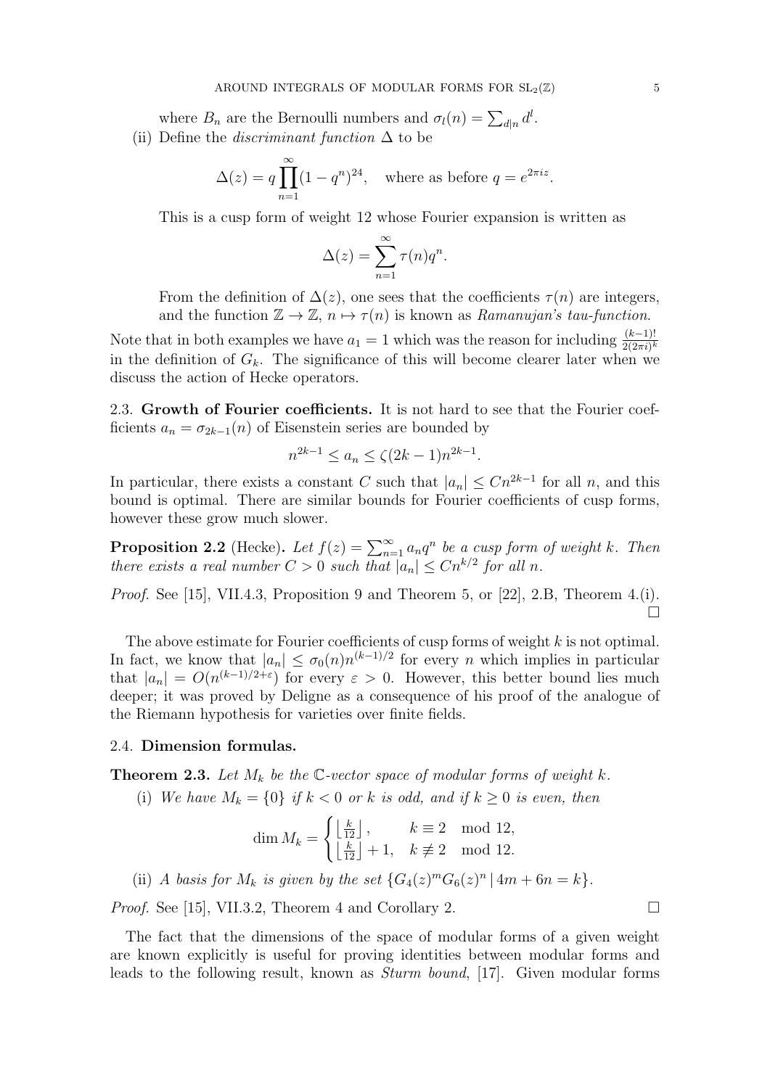where  $B_n$  are the Bernoulli numbers and  $\sigma_l(n) = \sum_{d|n} d^l$ . (ii) Define the *discriminant function*  $\Delta$  to be

$$
\Delta(z) = q \prod_{n=1}^{\infty} (1 - q^n)^{24}, \quad \text{where as before } q = e^{2\pi i z}.
$$

This is a cusp form of weight 12 whose Fourier expansion is written as

$$
\Delta(z) = \sum_{n=1}^{\infty} \tau(n) q^n.
$$

From the definition of  $\Delta(z)$ , one sees that the coefficients  $\tau(n)$  are integers, and the function  $\mathbb{Z} \to \mathbb{Z}$ ,  $n \mapsto \tau(n)$  is known as Ramanujan's tau-function.

Note that in both examples we have  $a_1 = 1$  which was the reason for including  $\frac{(k-1)!}{2(2\pi i)^k}$ in the definition of  $G_k$ . The significance of this will become clearer later when we discuss the action of Hecke operators.

2.3. Growth of Fourier coefficients. It is not hard to see that the Fourier coefficients  $a_n = \sigma_{2k-1}(n)$  of Eisenstein series are bounded by

$$
n^{2k-1} \le a_n \le \zeta(2k-1)n^{2k-1}.
$$

In particular, there exists a constant C such that  $|a_n| \leq Cn^{2k-1}$  for all n, and this bound is optimal. There are similar bounds for Fourier coefficients of cusp forms, however these grow much slower.

**Proposition 2.2** (Hecke). Let  $f(z) = \sum_{n=1}^{\infty} a_n q^n$  be a cusp form of weight k. Then there exists a real number  $C > 0$  such that  $|a_n| \leq C n^{k/2}$  for all n.

Proof. See [15], VII.4.3, Proposition 9 and Theorem 5, or [22], 2.B, Theorem 4.(i).  $\Box$ 

The above estimate for Fourier coefficients of cusp forms of weight  $k$  is not optimal. In fact, we know that  $|a_n| \leq \sigma_0(n)n^{(k-1)/2}$  for every *n* which implies in particular that  $|a_n| = O(n^{(k-1)/2+\epsilon})$  for every  $\epsilon > 0$ . However, this better bound lies much deeper; it was proved by Deligne as a consequence of his proof of the analogue of the Riemann hypothesis for varieties over finite fields.

### 2.4. Dimension formulas.

**Theorem 2.3.** Let  $M_k$  be the C-vector space of modular forms of weight k.

(i) We have  $M_k = \{0\}$  if  $k < 0$  or k is odd, and if  $k \geq 0$  is even, then

$$
\dim M_k = \begin{cases} \left\lfloor \frac{k}{12} \right\rfloor, & k \equiv 2 \mod 12, \\ \left\lfloor \frac{k}{12} \right\rfloor + 1, & k \not\equiv 2 \mod 12. \end{cases}
$$

(ii) A basis for  $M_k$  is given by the set  $\{G_4(z)^mG_6(z)^n | 4m + 6n = k\}.$ 

*Proof.* See [15], VII.3.2, Theorem 4 and Corollary 2.

The fact that the dimensions of the space of modular forms of a given weight are known explicitly is useful for proving identities between modular forms and leads to the following result, known as Sturm bound, [17]. Given modular forms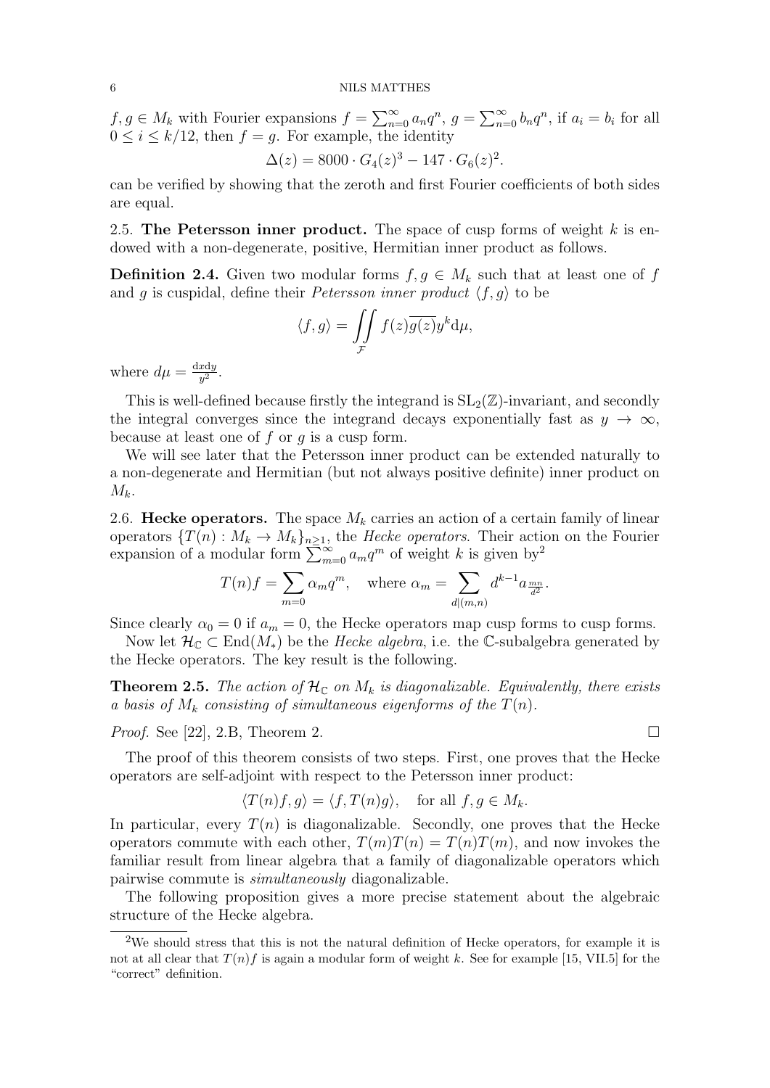$f, g \in M_k$  with Fourier expansions  $f = \sum_{n=0}^{\infty} a_n q^n$ ,  $g = \sum_{n=0}^{\infty} b_n q^n$ , if  $a_i = b_i$  for all  $0 \leq i \leq k/12$ , then  $f = g$ . For example, the identity

$$
\Delta(z) = 8000 \cdot G_4(z)^3 - 147 \cdot G_6(z)^2.
$$

can be verified by showing that the zeroth and first Fourier coefficients of both sides are equal.

2.5. The Petersson inner product. The space of cusp forms of weight  $k$  is endowed with a non-degenerate, positive, Hermitian inner product as follows.

**Definition 2.4.** Given two modular forms  $f, g \in M_k$  such that at least one of f and g is cuspidal, define their *Petersson inner product*  $\langle f, g \rangle$  to be

$$
\langle f, g \rangle = \iint_{\mathcal{F}} f(z) \overline{g(z)} y^k \mathrm{d}\mu,
$$

where  $d\mu = \frac{dxdy}{dt}$  $\frac{x \mathrm{d}y}{y^2}$ .

This is well-defined because firstly the integrand is  $SL_2(\mathbb{Z})$ -invariant, and secondly the integral converges since the integrand decays exponentially fast as  $y \to \infty$ , because at least one of  $f$  or  $q$  is a cusp form.

We will see later that the Petersson inner product can be extended naturally to a non-degenerate and Hermitian (but not always positive definite) inner product on  $M_k$ .

2.6. Hecke operators. The space  $M_k$  carries an action of a certain family of linear operators  $\{T(n): M_k \to M_k\}_{n\geq 1}$ , the *Hecke operators*. Their action on the Fourier expansion of a modular form  $\sum_{m=0}^{\infty} a_m q^m$  of weight k is given by<sup>2</sup>

$$
T(n)f = \sum_{m=0} \alpha_m q^m, \quad \text{where } \alpha_m = \sum_{d|(m,n)} d^{k-1} a_{\frac{mn}{d^2}}.
$$

Since clearly  $\alpha_0 = 0$  if  $a_m = 0$ , the Hecke operators map cusp forms to cusp forms.

Now let  $\mathcal{H}_{\mathbb{C}} \subset \text{End}(M_*)$  be the *Hecke algebra*, i.e. the C-subalgebra generated by the Hecke operators. The key result is the following.

**Theorem 2.5.** The action of  $\mathcal{H}_{\mathbb{C}}$  on  $M_k$  is diagonalizable. Equivalently, there exists a basis of  $M_k$  consisting of simultaneous eigenforms of the  $T(n)$ .

*Proof.* See [22], 2.B, Theorem 2.

The proof of this theorem consists of two steps. First, one proves that the Hecke operators are self-adjoint with respect to the Petersson inner product:

$$
\langle T(n)f, g \rangle = \langle f, T(n)g \rangle, \quad \text{for all } f, g \in M_k.
$$

In particular, every  $T(n)$  is diagonalizable. Secondly, one proves that the Hecke operators commute with each other,  $T(m)T(n) = T(n)T(m)$ , and now invokes the familiar result from linear algebra that a family of diagonalizable operators which pairwise commute is simultaneously diagonalizable.

The following proposition gives a more precise statement about the algebraic structure of the Hecke algebra.

<sup>&</sup>lt;sup>2</sup>We should stress that this is not the natural definition of Hecke operators, for example it is not at all clear that  $T(n)f$  is again a modular form of weight k. See for example [15, VII.5] for the "correct" definition.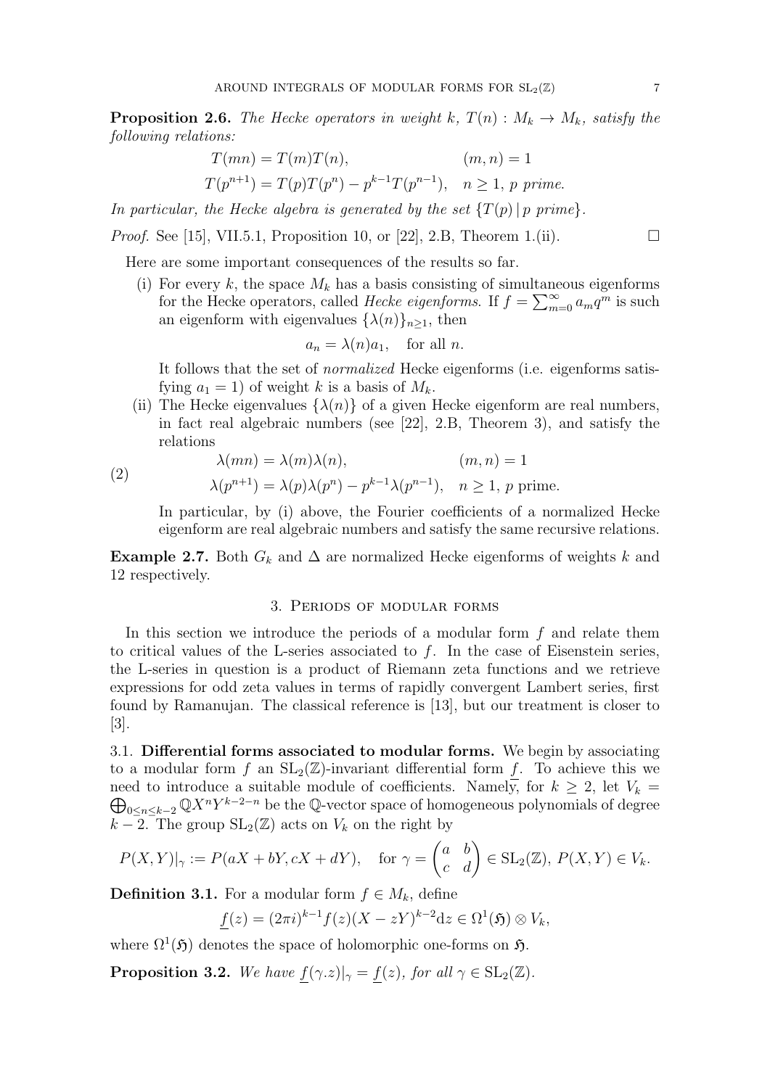**Proposition 2.6.** The Hecke operators in weight k,  $T(n)$ :  $M_k \to M_k$ , satisfy the following relations:

$$
T(mn) = T(m)T(n), \t (m, n) = 1
$$
  
\n
$$
T(p^{n+1}) = T(p)T(p^n) - p^{k-1}T(p^{n-1}), \t n \ge 1, p \text{ prime.}
$$

In particular, the Hecke algebra is generated by the set  $\{T(p) \mid p \text{ prime}\}$ .

*Proof.* See [15], VII.5.1, Proposition 10, or [22], 2.B, Theorem 1.(ii).

Here are some important consequences of the results so far.

(i) For every k, the space  $M_k$  has a basis consisting of simultaneous eigenforms for the Hecke operators, called *Hecke eigenforms*. If  $f = \sum_{m=0}^{\infty} a_m q^m$  is such an eigenform with eigenvalues  $\{\lambda(n)\}_{n\geq 1}$ , then

$$
a_n = \lambda(n)a_1, \quad \text{for all } n.
$$

It follows that the set of normalized Hecke eigenforms (i.e. eigenforms satisfying  $a_1 = 1$ ) of weight k is a basis of  $M_k$ .

(ii) The Hecke eigenvalues  $\{\lambda(n)\}\$  of a given Hecke eigenform are real numbers, in fact real algebraic numbers (see [22], 2.B, Theorem 3), and satisfy the relations

$$
(2)
$$

$$
\lambda(mn) = \lambda(m)\lambda(n), \qquad (m,n) = 1
$$
  

$$
\lambda(p^{n+1}) = \lambda(p)\lambda(p^n) - p^{k-1}\lambda(p^{n-1}), \quad n \ge 1, p \text{ prime.}
$$

In particular, by (i) above, the Fourier coefficients of a normalized Hecke eigenform are real algebraic numbers and satisfy the same recursive relations.

**Example 2.7.** Both  $G_k$  and  $\Delta$  are normalized Hecke eigenforms of weights k and 12 respectively.

### 3. Periods of modular forms

In this section we introduce the periods of a modular form  $f$  and relate them to critical values of the L-series associated to f. In the case of Eisenstein series, the L-series in question is a product of Riemann zeta functions and we retrieve expressions for odd zeta values in terms of rapidly convergent Lambert series, first found by Ramanujan. The classical reference is [13], but our treatment is closer to [3].

3.1. Differential forms associated to modular forms. We begin by associating to a modular form f an  $SL_2(\mathbb{Z})$ -invariant differential form f. To achieve this we need to introduce a suitable module of coefficients. Namely, for  $\oplus$  $k \geq 2$ , let  $V_k =$  $\sum_{0 \leq n \leq k-2} \mathbb{Q}X^nY^{k-2-n}$  be the Q-vector space of homogeneous polynomials of degree  $k-2$ . The group  $SL_2(\mathbb{Z})$  acts on  $V_k$  on the right by

$$
P(X,Y)|_{\gamma} := P(aX + bY, cX + dY), \quad \text{for } \gamma = \begin{pmatrix} a & b \\ c & d \end{pmatrix} \in SL_2(\mathbb{Z}), P(X,Y) \in V_k.
$$

**Definition 3.1.** For a modular form  $f \in M_k$ , define

$$
\underline{f}(z) = (2\pi i)^{k-1} f(z) (X - zY)^{k-2} dz \in \Omega^1(\mathfrak{H}) \otimes V_k,
$$

where  $\Omega^1(\mathfrak{H})$  denotes the space of holomorphic one-forms on  $\mathfrak{H}$ .

**Proposition 3.2.** We have  $f(\gamma.z)|_{\gamma} = f(z)$ , for all  $\gamma \in SL_2(\mathbb{Z})$ .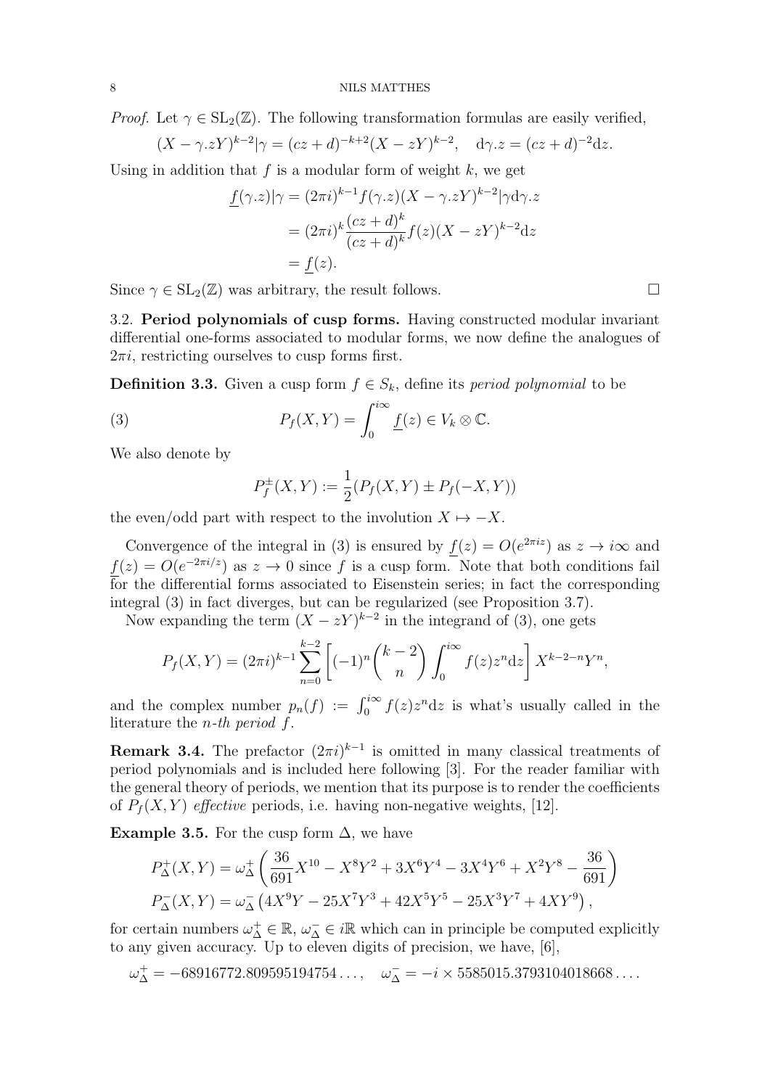*Proof.* Let  $\gamma \in SL_2(\mathbb{Z})$ . The following transformation formulas are easily verified,

$$
(X - \gamma zY)^{k-2} |\gamma = (cz + d)^{-k+2} (X - zY)^{k-2}, \quad d\gamma \cdot z = (cz + d)^{-2} dz.
$$

Using in addition that  $f$  is a modular form of weight  $k$ , we get

$$
\underline{f}(\gamma.z)|\gamma = (2\pi i)^{k-1} f(\gamma.z)(X - \gamma.zY)^{k-2} |\gamma d\gamma.z
$$

$$
= (2\pi i)^k \frac{(cz+d)^k}{(cz+d)^k} f(z)(X - zY)^{k-2} dz
$$

$$
= f(z).
$$

Since  $\gamma \in SL_2(\mathbb{Z})$  was arbitrary, the result follows.

3.2. Period polynomials of cusp forms. Having constructed modular invariant differential one-forms associated to modular forms, we now define the analogues of  $2\pi i$ , restricting ourselves to cusp forms first.

**Definition 3.3.** Given a cusp form  $f \in S_k$ , define its *period polynomial* to be

(3) 
$$
P_f(X,Y) = \int_0^{i\infty} \underline{f}(z) \in V_k \otimes \mathbb{C}.
$$

We also denote by

$$
P_f^{\pm}(X, Y) := \frac{1}{2}(P_f(X, Y) \pm P_f(-X, Y))
$$

the even/odd part with respect to the involution  $X \mapsto -X$ .

Convergence of the integral in (3) is ensured by  $f(z) = O(e^{2\pi i z})$  as  $z \to i\infty$  and  $f(z) = O(e^{-2\pi i/z})$  as  $z \to 0$  since f is a cusp form. Note that both conditions fail for the differential forms associated to Eisenstein series; in fact the corresponding integral (3) in fact diverges, but can be regularized (see Proposition 3.7).

Now expanding the term  $(X - zY)^{k-2}$  in the integrand of (3), one gets

$$
P_f(X,Y) = (2\pi i)^{k-1} \sum_{n=0}^{k-2} \left[ (-1)^n \binom{k-2}{n} \int_0^{i\infty} f(z) z^n dz \right] X^{k-2-n} Y^n,
$$

and the complex number  $p_n(f) := \int_0^{i\infty} f(z)z^n dz$  is what's usually called in the literature the *n*-th period  $f$ .

**Remark 3.4.** The prefactor  $(2\pi i)^{k-1}$  is omitted in many classical treatments of period polynomials and is included here following [3]. For the reader familiar with the general theory of periods, we mention that its purpose is to render the coefficients of  $P_f(X, Y)$  effective periods, i.e. having non-negative weights, [12].

Example 3.5. For the cusp form  $\Delta$ , we have

$$
P_{\Delta}^{+}(X,Y) = \omega_{\Delta}^{+}\left(\frac{36}{691}X^{10} - X^{8}Y^{2} + 3X^{6}Y^{4} - 3X^{4}Y^{6} + X^{2}Y^{8} - \frac{36}{691}\right)
$$
  

$$
P_{\Delta}^{-}(X,Y) = \omega_{\Delta}^{-}\left(4X^{9}Y - 25X^{7}Y^{3} + 42X^{5}Y^{5} - 25X^{3}Y^{7} + 4XY^{9}\right),
$$

for certain numbers  $\omega_{\Delta}^+ \in \mathbb{R}$ ,  $\omega_{\Delta}^- \in i\mathbb{R}$  which can in principle be computed explicitly to any given accuracy. Up to eleven digits of precision, we have, [6],

$$
\omega_{\Delta}^{+} = -68916772.809595194754\ldots, \quad \omega_{\Delta}^{-} = -i \times 5585015.3793104018668\ldots.
$$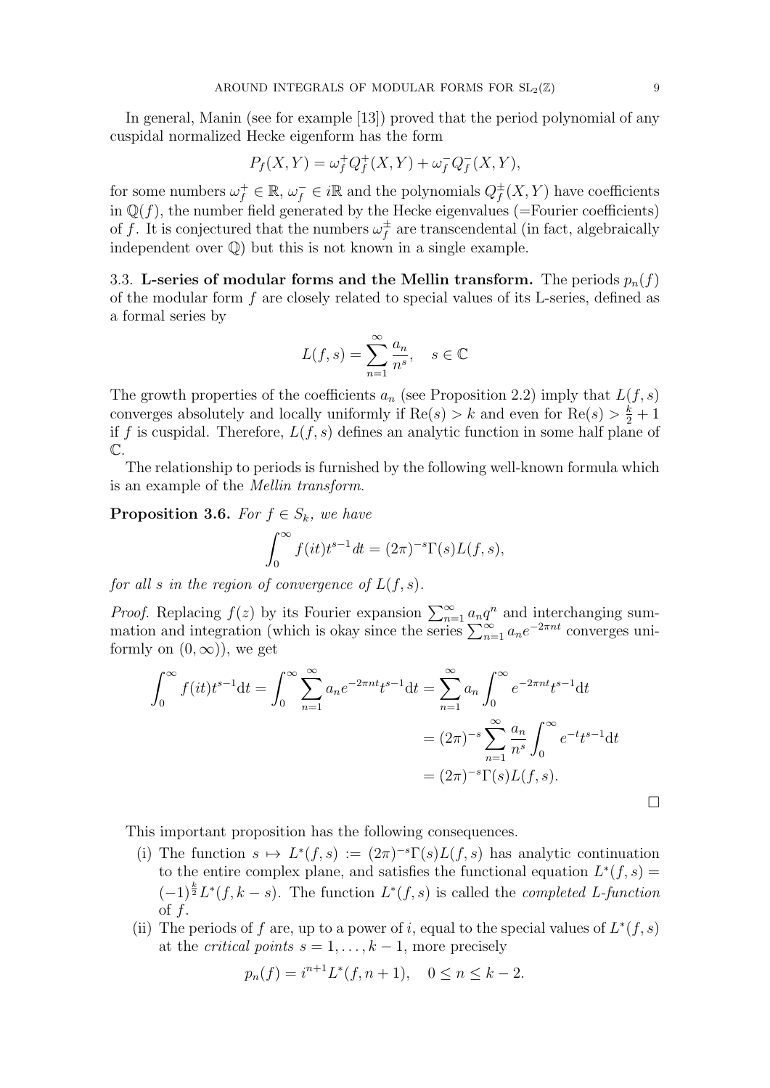In general, Manin (see for example [13]) proved that the period polynomial of any cuspidal normalized Hecke eigenform has the form

$$
P_f(X, Y) = \omega_f^+ Q_f^+(X, Y) + \omega_f^- Q_f^-(X, Y),
$$

for some numbers  $\omega_f^+ \in \mathbb{R}, \omega_f^- \in i\mathbb{R}$  and the polynomials  $Q_f^{\pm}$  $f^{\pm}(X,Y)$  have coefficients in  $\mathbb{Q}(f)$ , the number field generated by the Hecke eigenvalues (=Fourier coefficients) of f. It is conjectured that the numbers  $\omega_f^{\pm}$  $f$ <sub>f</sub> are transcendental (in fact, algebraically independent over Q) but this is not known in a single example.

3.3. L-series of modular forms and the Mellin transform. The periods  $p_n(f)$ of the modular form  $f$  are closely related to special values of its L-series, defined as a formal series by

$$
L(f,s) = \sum_{n=1}^{\infty} \frac{a_n}{n^s}, \quad s \in \mathbb{C}
$$

The growth properties of the coefficients  $a_n$  (see Proposition 2.2) imply that  $L(f, s)$ converges absolutely and locally uniformly if  $\text{Re}(s) > k$  and even for  $\text{Re}(s) > \frac{k}{2} + 1$ if f is cuspidal. Therefore,  $L(f, s)$  defines an analytic function in some half plane of  $\mathbb{C}$ .

The relationship to periods is furnished by the following well-known formula which is an example of the Mellin transform.

**Proposition 3.6.** For  $f \in S_k$ , we have

$$
\int_0^\infty f(it)t^{s-1}dt = (2\pi)^{-s}\Gamma(s)L(f,s),
$$

for all s in the region of convergence of  $L(f, s)$ .

*Proof.* Replacing  $f(z)$  by its Fourier expansion  $\sum_{n=1}^{\infty} a_n q^n$  and interchanging summation and integration (which is okay since the series  $\sum_{n=1}^{\infty} a_n e^{-2\pi nt}$  converges uniformly on  $(0, \infty)$ , we get

$$
\int_0^{\infty} f(it)t^{s-1}dt = \int_0^{\infty} \sum_{n=1}^{\infty} a_n e^{-2\pi nt}t^{s-1}dt = \sum_{n=1}^{\infty} a_n \int_0^{\infty} e^{-2\pi nt}t^{s-1}dt
$$
  
=  $(2\pi)^{-s} \sum_{n=1}^{\infty} \frac{a_n}{n^s} \int_0^{\infty} e^{-t}t^{s-1}dt$   
=  $(2\pi)^{-s} \Gamma(s)L(f,s).$ 

This important proposition has the following consequences.

- (i) The function  $s \mapsto L^*(f, s) := (2\pi)^{-s} \Gamma(s) L(f, s)$  has analytic continuation to the entire complex plane, and satisfies the functional equation  $L^*(f, s) =$  $(-1)^{\frac{k}{2}}L^*(f, k-s)$ . The function  $L^*(f, s)$  is called the *completed L-function* of f.
- (ii) The periods of f are, up to a power of i, equal to the special values of  $L^*(f, s)$ at the *critical points*  $s = 1, \ldots, k - 1$ , more precisely

$$
p_n(f) = i^{n+1} L^*(f, n+1), \quad 0 \le n \le k - 2.
$$

 $\Box$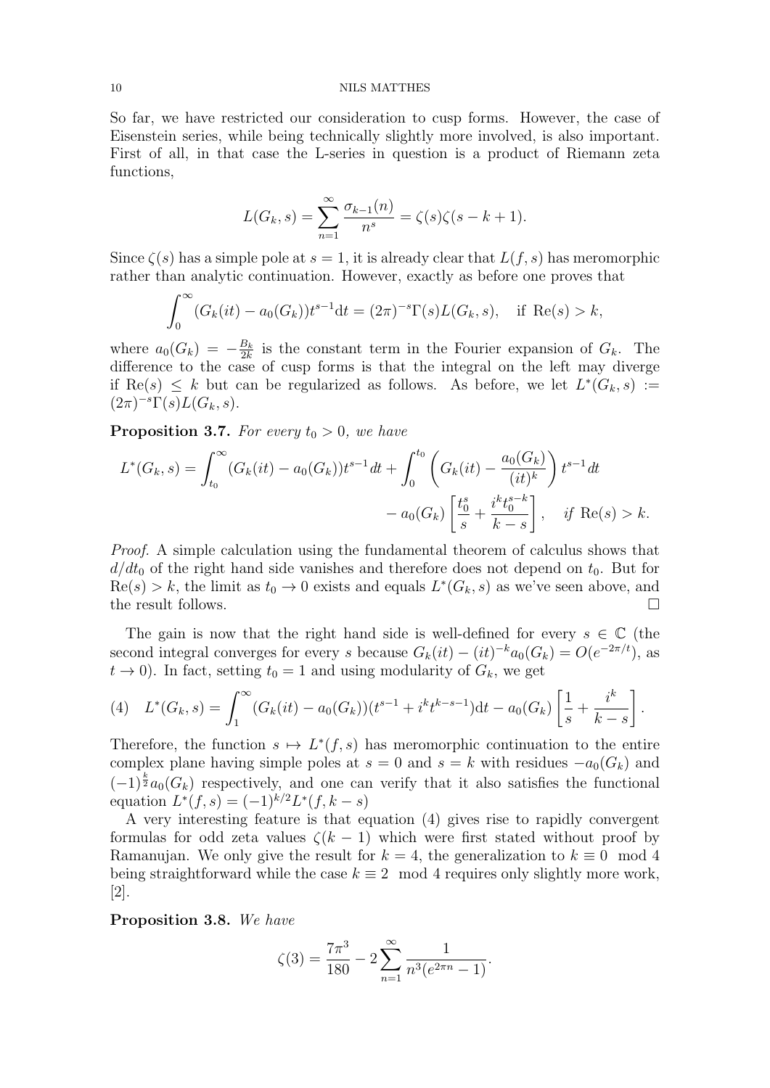So far, we have restricted our consideration to cusp forms. However, the case of Eisenstein series, while being technically slightly more involved, is also important. First of all, in that case the L-series in question is a product of Riemann zeta functions,

$$
L(G_k, s) = \sum_{n=1}^{\infty} \frac{\sigma_{k-1}(n)}{n^s} = \zeta(s)\zeta(s-k+1).
$$

Since  $\zeta(s)$  has a simple pole at  $s = 1$ , it is already clear that  $L(f, s)$  has meromorphic rather than analytic continuation. However, exactly as before one proves that

$$
\int_0^{\infty} (G_k(it) - a_0(G_k)) t^{s-1} dt = (2\pi)^{-s} \Gamma(s) L(G_k, s), \text{ if } Re(s) > k,
$$

where  $a_0(G_k) = -\frac{B_k}{2k}$  $\frac{B_k}{2k}$  is the constant term in the Fourier expansion of  $G_k$ . The difference to the case of cusp forms is that the integral on the left may diverge if Re(s)  $\leq k$  but can be regularized as follows. As before, we let  $L^*(G_k, s) :=$  $(2\pi)^{-s}\Gamma(s)L(G_k, s).$ 

**Proposition 3.7.** For every  $t_0 > 0$ , we have

$$
L^*(G_k, s) = \int_{t_0}^{\infty} (G_k(it) - a_0(G_k)) t^{s-1} dt + \int_0^{t_0} \left( G_k(it) - \frac{a_0(G_k)}{(it)^k} \right) t^{s-1} dt
$$
  
-  $a_0(G_k) \left[ \frac{t_0^s}{s} + \frac{i^k t_0^{s-k}}{k-s} \right], \text{ if } \text{Re}(s) > k.$ 

Proof. A simple calculation using the fundamental theorem of calculus shows that  $d/dt_0$  of the right hand side vanishes and therefore does not depend on  $t_0$ . But for  $\text{Re}(s) > k$ , the limit as  $t_0 \to 0$  exists and equals  $L^*(G_k, s)$  as we've seen above, and the result follows.

The gain is now that the right hand side is well-defined for every  $s \in \mathbb{C}$  (the second integral converges for every s because  $G_k(it) - (it)^{-k}a_0(G_k) = O(e^{-2\pi/t})$ , as  $t \to 0$ ). In fact, setting  $t_0 = 1$  and using modularity of  $G_k$ , we get

(4) 
$$
L^*(G_k, s) = \int_1^{\infty} (G_k(it) - a_0(G_k))(t^{s-1} + i^k t^{k-s-1}) dt - a_0(G_k) \left[ \frac{1}{s} + \frac{i^k}{k-s} \right].
$$

Therefore, the function  $s \mapsto L^*(f, s)$  has meromorphic continuation to the entire complex plane having simple poles at  $s = 0$  and  $s = k$  with residues  $-a_0(G_k)$  and  $(-1)^{\frac{k}{2}} a_0(G_k)$  respectively, and one can verify that it also satisfies the functional equation  $L^*(f, s) = (-1)^{k/2} L^*(f, k - s)$ 

A very interesting feature is that equation (4) gives rise to rapidly convergent formulas for odd zeta values  $\zeta(k-1)$  which were first stated without proof by Ramanujan. We only give the result for  $k = 4$ , the generalization to  $k \equiv 0 \mod 4$ being straightforward while the case  $k \equiv 2 \mod 4$  requires only slightly more work, [2].

Proposition 3.8. We have

$$
\zeta(3) = \frac{7\pi^3}{180} - 2\sum_{n=1}^{\infty} \frac{1}{n^3(e^{2\pi n} - 1)}.
$$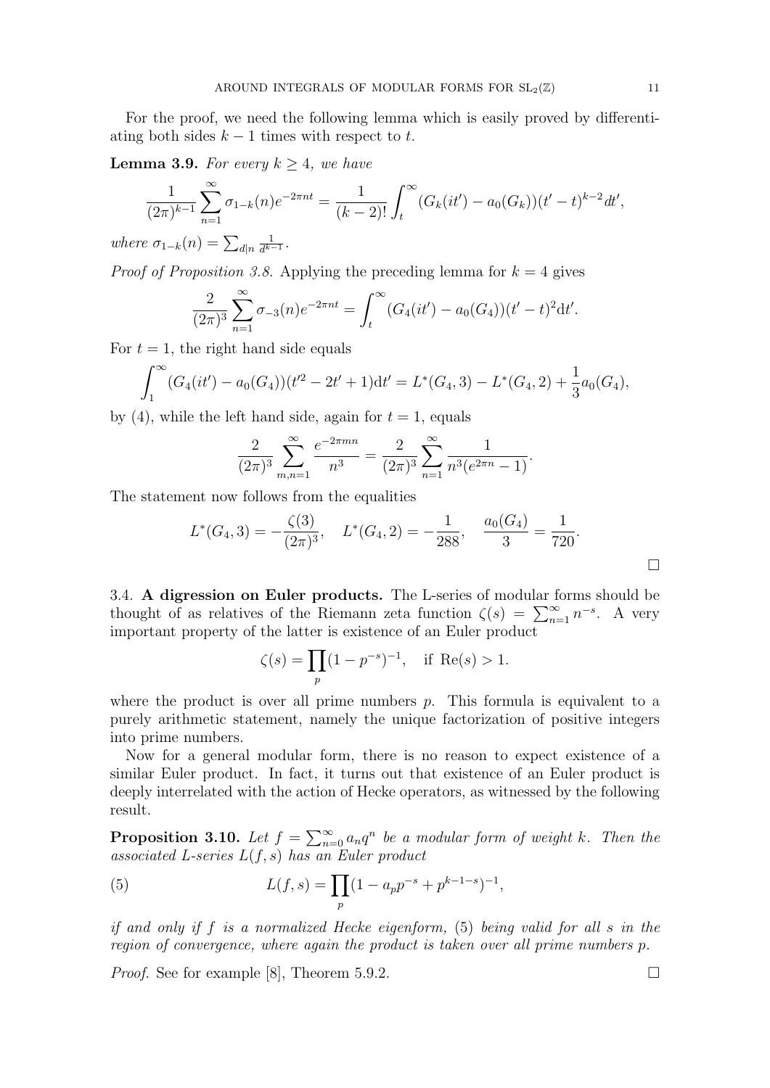For the proof, we need the following lemma which is easily proved by differentiating both sides  $k - 1$  times with respect to t.

**Lemma 3.9.** For every  $k > 4$ , we have

$$
\frac{1}{(2\pi)^{k-1}}\sum_{n=1}^{\infty}\sigma_{1-k}(n)e^{-2\pi nt} = \frac{1}{(k-2)!}\int_{t}^{\infty}(G_{k}(it') - a_{0}(G_{k}))(t'-t)^{k-2}dt',
$$

where  $\sigma_{1-k}(n) = \sum_{d|n}$ 1  $\frac{1}{d^{k-1}}$ .

*Proof of Proposition 3.8.* Applying the preceding lemma for  $k = 4$  gives

$$
\frac{2}{(2\pi)^3} \sum_{n=1}^{\infty} \sigma_{-3}(n) e^{-2\pi nt} = \int_t^{\infty} (G_4(it') - a_0(G_4))(t'-t)^2 dt'.
$$

For  $t = 1$ , the right hand side equals

$$
\int_{1}^{\infty} (G_4(it') - a_0(G_4))(t'^2 - 2t' + 1)dt' = L^*(G_4, 3) - L^*(G_4, 2) + \frac{1}{3}a_0(G_4),
$$

by (4), while the left hand side, again for  $t = 1$ , equals

$$
\frac{2}{(2\pi)^3} \sum_{m,n=1}^{\infty} \frac{e^{-2\pi mn}}{n^3} = \frac{2}{(2\pi)^3} \sum_{n=1}^{\infty} \frac{1}{n^3 (e^{2\pi n} - 1)}.
$$

The statement now follows from the equalities

$$
L^*(G_4,3) = -\frac{\zeta(3)}{(2\pi)^3}, \quad L^*(G_4,2) = -\frac{1}{288}, \quad \frac{a_0(G_4)}{3} = \frac{1}{720}.
$$

3.4. A digression on Euler products. The L-series of modular forms should be thought of as relatives of the Riemann zeta function  $\zeta(s) = \sum_{n=1}^{\infty} n^{-s}$ . A very important property of the latter is existence of an Euler product

$$
\zeta(s) = \prod_p (1 - p^{-s})^{-1}, \text{ if } \text{Re}(s) > 1.
$$

where the product is over all prime numbers  $p$ . This formula is equivalent to a purely arithmetic statement, namely the unique factorization of positive integers into prime numbers.

Now for a general modular form, there is no reason to expect existence of a similar Euler product. In fact, it turns out that existence of an Euler product is deeply interrelated with the action of Hecke operators, as witnessed by the following result.

**Proposition 3.10.** Let  $f = \sum_{n=0}^{\infty} a_n q^n$  be a modular form of weight k. Then the associated L-series  $L(f, s)$  has an Euler product

(5) 
$$
L(f,s) = \prod_p (1 - a_p p^{-s} + p^{k-1-s})^{-1},
$$

if and only if f is a normalized Hecke eigenform, (5) being valid for all s in the region of convergence, where again the product is taken over all prime numbers p.

*Proof.* See for example [8], Theorem 5.9.2.  $\Box$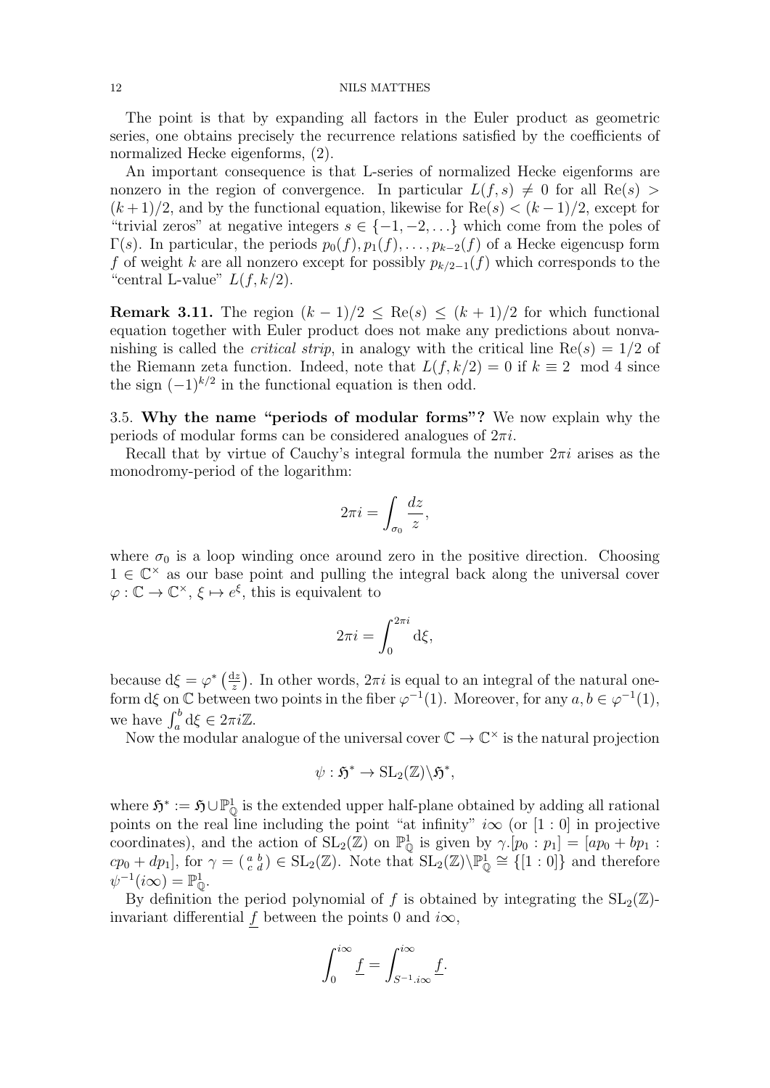The point is that by expanding all factors in the Euler product as geometric series, one obtains precisely the recurrence relations satisfied by the coefficients of normalized Hecke eigenforms, (2).

An important consequence is that L-series of normalized Hecke eigenforms are nonzero in the region of convergence. In particular  $L(f, s) \neq 0$  for all  $\text{Re}(s) >$  $(k+1)/2$ , and by the functional equation, likewise for Re $(s) < (k-1)/2$ , except for "trivial zeros" at negative integers  $s \in \{-1, -2, \ldots\}$  which come from the poles of  $\Gamma(s)$ . In particular, the periods  $p_0(f), p_1(f), \ldots, p_{k-2}(f)$  of a Hecke eigencusp form f of weight k are all nonzero except for possibly  $p_{k/2-1}(f)$  which corresponds to the "central L-value"  $L(f, k/2)$ .

**Remark 3.11.** The region  $(k-1)/2 \leq Re(s) \leq (k+1)/2$  for which functional equation together with Euler product does not make any predictions about nonvanishing is called the *critical strip*, in analogy with the critical line  $Re(s) = 1/2$  of the Riemann zeta function. Indeed, note that  $L(f, k/2) = 0$  if  $k \equiv 2 \mod 4$  since the sign  $(-1)^{k/2}$  in the functional equation is then odd.

3.5. Why the name "periods of modular forms"? We now explain why the periods of modular forms can be considered analogues of  $2\pi i$ .

Recall that by virtue of Cauchy's integral formula the number  $2\pi i$  arises as the monodromy-period of the logarithm:

$$
2\pi i = \int_{\sigma_0} \frac{dz}{z},
$$

where  $\sigma_0$  is a loop winding once around zero in the positive direction. Choosing  $1 \in \mathbb{C}^\times$  as our base point and pulling the integral back along the universal cover  $\varphi : \mathbb{C} \to \mathbb{C}^\times$ ,  $\xi \mapsto e^{\xi}$ , this is equivalent to

$$
2\pi i = \int_0^{2\pi i} \mathrm{d}\xi,
$$

because  $d\xi = \varphi^* \left( \frac{dz}{z} \right)$  $\frac{dz}{z}$ ). In other words,  $2\pi i$  is equal to an integral of the natural oneform d $\xi$  on  $\mathbb C$  between two points in the fiber  $\varphi^{-1}(1)$ . Moreover, for any  $a, b \in \varphi^{-1}(1)$ , we have  $\int_a^b d\xi \in 2\pi i \mathbb{Z}$ .

Now the modular analogue of the universal cover  $\mathbb{C} \to \mathbb{C}^\times$  is the natural projection

$$
\psi: \mathfrak{H}^* \to \mathrm{SL}_2(\mathbb{Z})\backslash \mathfrak{H}^*,
$$

where  $\mathfrak{H}^* := \mathfrak{H} \cup \mathbb{P}^1_{\mathbb{Q}}$  is the extended upper half-plane obtained by adding all rational points on the real line including the point "at infinity"  $i\infty$  (or [1 : 0] in projective coordinates), and the action of  $SL_2(\mathbb{Z})$  on  $\mathbb{P}^1_{\mathbb{Q}}$  is given by  $\gamma.[p_0:p_1]=[ap_0+bp_1:$  $cp_0 + dp_1$ , for  $\gamma = \begin{pmatrix} a & b \\ c & d \end{pmatrix} \in SL_2(\mathbb{Z})$ . Note that  $SL_2(\mathbb{Z})\backslash \mathbb{P}^1_{\mathbb{Q}} \cong \{[1:0]\}$  and therefore  $\psi^{-1}(i\infty) = \mathbb{P}^1_{\mathbb{Q}}.$ 

By definition the period polynomial of f is obtained by integrating the  $SL_2(\mathbb{Z})$ invariant differential f between the points 0 and  $i\infty$ ,

$$
\int_0^{i\infty} \underline{f} = \int_{S^{-1} i\infty}^{i\infty} \underline{f}.
$$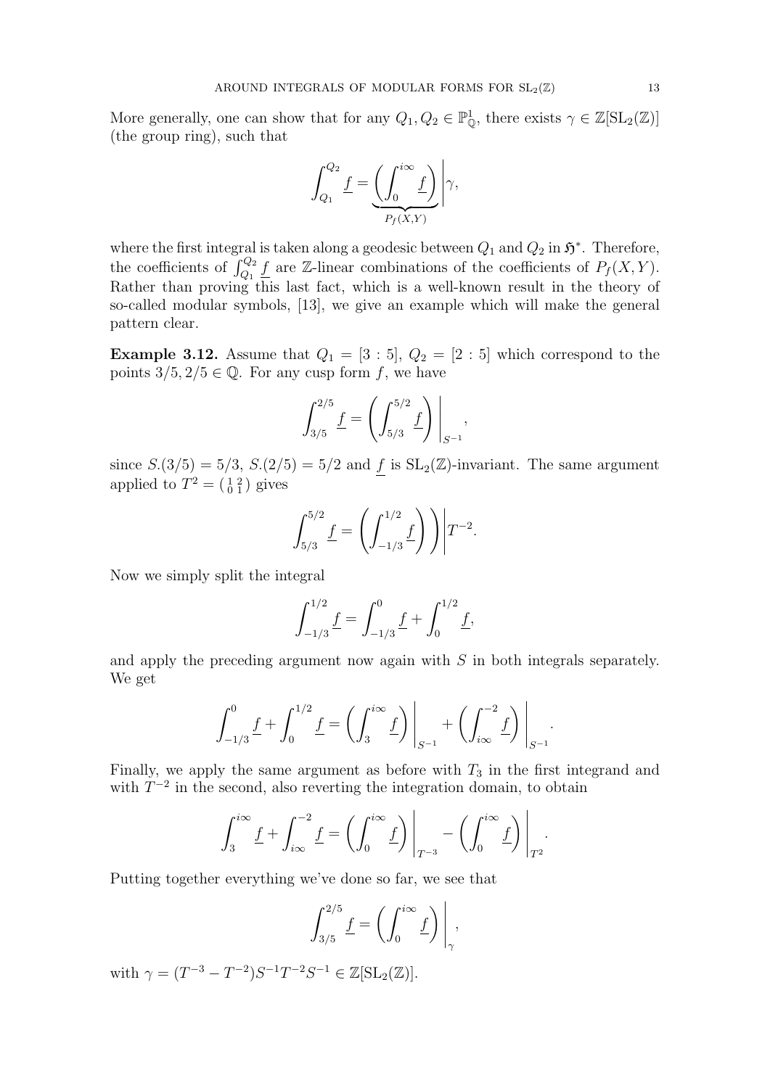More generally, one can show that for any  $Q_1, Q_2 \in \mathbb{P}_{\mathbb{Q}}^1$ , there exists  $\gamma \in \mathbb{Z}[\operatorname{SL}_2(\mathbb{Z})]$ (the group ring), such that

$$
\int_{Q_1}^{Q_2} \underline{f} = \underbrace{\left(\int_0^{i\infty} \underline{f}\right)}_{P_f(X,Y)} \Bigg| \gamma,
$$

where the first integral is taken along a geodesic between  $Q_1$  and  $Q_2$  in  $\mathfrak{H}^*$ . Therefore, the coefficients of  $\int_{Q_1}^{Q_2} \underline{f}$  are Z-linear combinations of the coefficients of  $P_f(X, Y)$ . Rather than proving this last fact, which is a well-known result in the theory of so-called modular symbols, [13], we give an example which will make the general pattern clear.

**Example 3.12.** Assume that  $Q_1 = [3:5], Q_2 = [2:5]$  which correspond to the points  $3/5$ ,  $2/5 \in \mathbb{Q}$ . For any cusp form f, we have

$$
\int_{3/5}^{2/5} \underline{f} = \left( \int_{5/3}^{5/2} \underline{f} \right) \Big|_{S^{-1}},
$$

since  $S(3/5) = 5/3$ ,  $S(2/5) = 5/2$  and f is  $SL_2(\mathbb{Z})$ -invariant. The same argument applied to  $T^2 = \begin{pmatrix} 1 & 2 \\ 0 & 1 \end{pmatrix}$  gives

$$
\int_{5/3}^{5/2} \underline{f} = \left( \int_{-1/3}^{1/2} \underline{f} \right) \bigg) \bigg| T^{-2}.
$$

Now we simply split the integral

$$
\int_{-1/3}^{1/2} \underline{f} = \int_{-1/3}^{0} \underline{f} + \int_{0}^{1/2} \underline{f},
$$

and apply the preceding argument now again with S in both integrals separately. We get

$$
\int_{-1/3}^{0} \underline{f} + \int_{0}^{1/2} \underline{f} = \left( \int_{3}^{i\infty} \underline{f} \right) \Big|_{S^{-1}} + \left( \int_{i\infty}^{-2} \underline{f} \right) \Big|_{S^{-1}}
$$

.

Finally, we apply the same argument as before with  $T_3$  in the first integrand and with  $T^{-2}$  in the second, also reverting the integration domain, to obtain

$$
\int_3^{i\infty} \underline{f} + \int_{i\infty}^{-2} \underline{f} = \left( \int_0^{i\infty} \underline{f} \right) \Big|_{T^{-3}} - \left( \int_0^{i\infty} \underline{f} \right) \Big|_{T^2}.
$$

Putting together everything we've done so far, we see that

$$
\int_{3/5}^{2/5} \underline{f} = \left( \int_0^{i\infty} \underline{f} \right) \Big|_{\gamma},
$$

with  $\gamma = (T^{-3} - T^{-2})S^{-1}T^{-2}S^{-1} \in \mathbb{Z}[\mathrm{SL}_2(\mathbb{Z})].$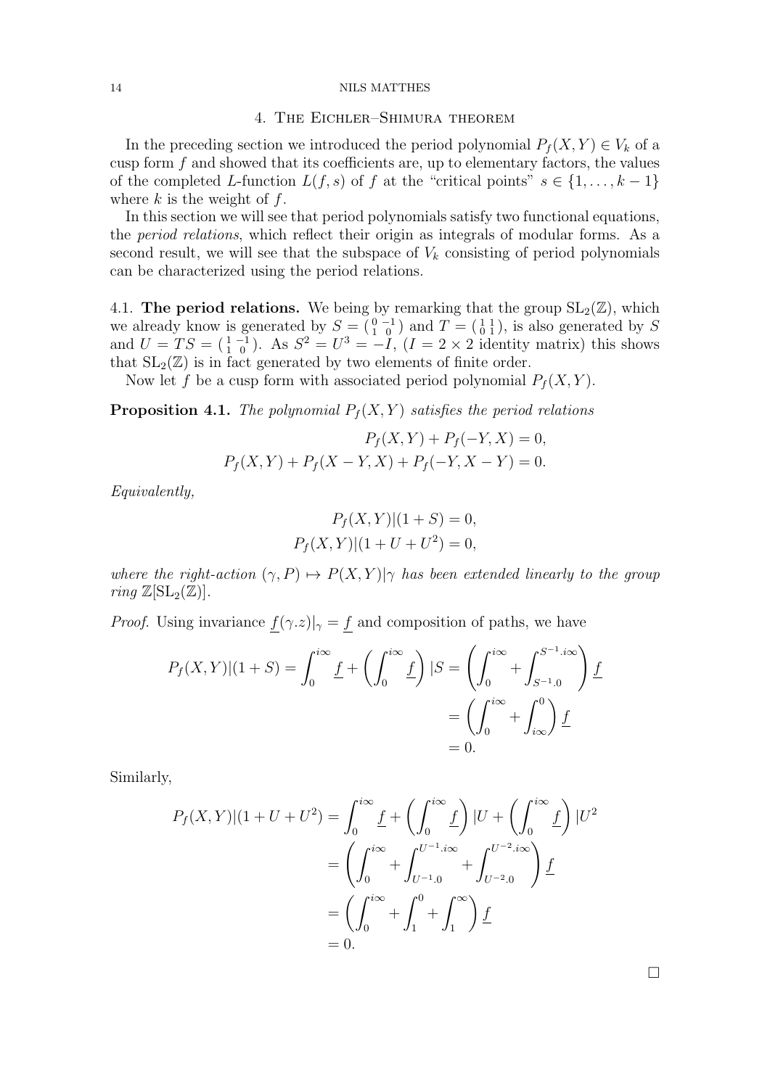### 4. The Eichler–Shimura theorem

In the preceding section we introduced the period polynomial  $P_f(X, Y) \in V_k$  of a cusp form  $f$  and showed that its coefficients are, up to elementary factors, the values of the completed L-function  $L(f, s)$  of f at the "critical points"  $s \in \{1, \ldots, k-1\}$ where  $k$  is the weight of  $f$ .

In this section we will see that period polynomials satisfy two functional equations, the *period relations*, which reflect their origin as integrals of modular forms. As a second result, we will see that the subspace of  $V_k$  consisting of period polynomials can be characterized using the period relations.

4.1. The period relations. We being by remarking that the group  $SL_2(\mathbb{Z})$ , which we already know is generated by  $S = \begin{pmatrix} 0 & -1 \\ 1 & 0 \end{pmatrix}$  and  $T = \begin{pmatrix} 1 & 1 \\ 0 & 1 \end{pmatrix}$ , is also generated by S and  $U = TS = \begin{pmatrix} 1 & -1 \\ 1 & 0 \end{pmatrix}$ . As  $S^2 = U^3 = -\tilde{I}$ ,  $(I = 2 \times 2$  identity matrix) this shows that  $SL_2(\mathbb{Z})$  is in fact generated by two elements of finite order.

Now let f be a cusp form with associated period polynomial  $P<sub>f</sub>(X, Y)$ .

**Proposition 4.1.** The polynomial  $P_f(X, Y)$  satisfies the period relations

$$
P_f(X, Y) + P_f(-Y, X) = 0,
$$
  

$$
P_f(X, Y) + P_f(X - Y, X) + P_f(-Y, X - Y) = 0.
$$

Equivalently,

$$
P_f(X, Y)|(1 + S) = 0,
$$
  

$$
P_f(X, Y)|(1 + U + U^2) = 0,
$$

where the right-action  $(\gamma, P) \mapsto P(X, Y)|\gamma$  has been extended linearly to the group ring  $\mathbb{Z}[\mathrm{SL}_2(\mathbb{Z})]$ .

*Proof.* Using invariance  $f(\gamma z)|_{\gamma} = f$  and composition of paths, we have

$$
P_f(X,Y)|(1+S) = \int_0^{i\infty} \underline{f} + \left(\int_0^{i\infty} \underline{f}\right)|S = \left(\int_0^{i\infty} + \int_{S^{-1}.0}^{S^{-1}.i\infty}\right) \underline{f}
$$
  
=  $\left(\int_0^{i\infty} + \int_{i\infty}^0\right) \underline{f}$   
= 0.

Similarly,

$$
P_f(X,Y)|(1+U+U^2) = \int_0^{i\infty} \underline{f} + \left(\int_0^{i\infty} \underline{f}\right) |U + \left(\int_0^{i\infty} \underline{f}\right)|U^2
$$
  
= 
$$
\left(\int_0^{i\infty} + \int_{U^{-1}.0}^{U^{-1}.i\infty} + \int_{U^{-2}.0}^{U^{-2}.i\infty}\right) \underline{f}
$$
  
= 
$$
\left(\int_0^{i\infty} + \int_1^0 + \int_1^{\infty}\right) \underline{f}
$$
  
= 0.

 $\Box$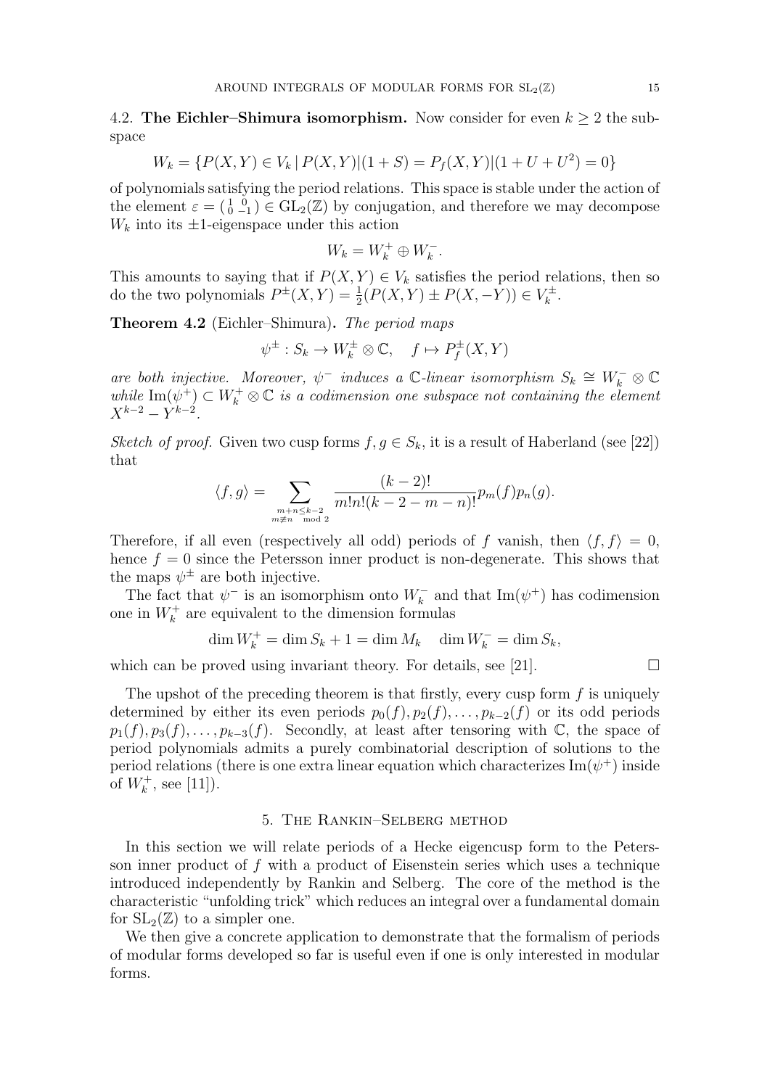4.2. The Eichler–Shimura isomorphism. Now consider for even  $k \geq 2$  the subspace

$$
W_k = \{ P(X, Y) \in V_k | P(X, Y)| (1 + S) = P_f(X, Y)| (1 + U + U^2) = 0 \}
$$

of polynomials satisfying the period relations. This space is stable under the action of the element  $\varepsilon = (\begin{smallmatrix} 1 & 0 \\ 0 & -1 \end{smallmatrix}) \in GL_2(\mathbb{Z})$  by conjugation, and therefore we may decompose  $W_k$  into its  $\pm 1$ -eigenspace under this action

$$
W_k = W_k^+ \oplus W_k^-.
$$

This amounts to saying that if  $P(X, Y) \in V_k$  satisfies the period relations, then so do the two polynomials  $P^{\pm}(X,Y) = \frac{1}{2}(P(X,Y) \pm P(X,-Y)) \in V_k^{\pm}$  $\frac{k}{k}$ .

Theorem 4.2 (Eichler–Shimura). The period maps

$$
\psi^{\pm}: S_k \to W_k^{\pm} \otimes \mathbb{C}, \quad f \mapsto P_f^{\pm}(X, Y)
$$

are both injective. Moreover,  $\psi^-$  induces a C-linear isomorphism  $S_k \cong W_k^- \otimes \mathbb{C}$ while  $\text{Im}(\psi^+) \subset W^+_k \otimes \mathbb{C}$  is a codimension one subspace not containing the element  $X^{k-2} - Y^{k-2}$ .

Sketch of proof. Given two cusp forms  $f, g \in S_k$ , it is a result of Haberland (see [22]) that

$$
\langle f, g \rangle = \sum_{\substack{m+n \leq k-2 \\ m \neq n \mod 2}} \frac{(k-2)!}{m!n!(k-2-m-n)!} p_m(f) p_n(g).
$$

Therefore, if all even (respectively all odd) periods of f vanish, then  $\langle f, f \rangle = 0$ , hence  $f = 0$  since the Petersson inner product is non-degenerate. This shows that the maps  $\psi^{\pm}$  are both injective.

The fact that  $\psi^-$  is an isomorphism onto  $W_k^-$  and that  $\text{Im}(\psi^+)$  has codimension one in  $W_k^+$  are equivalent to the dimension formulas

$$
\dim W_k^+ = \dim S_k + 1 = \dim M_k \quad \dim W_k^- = \dim S_k,
$$

which can be proved using invariant theory. For details, see [21].  $\Box$ 

The upshot of the preceding theorem is that firstly, every cusp form  $f$  is uniquely determined by either its even periods  $p_0(f), p_2(f), \ldots, p_{k-2}(f)$  or its odd periods  $p_1(f), p_3(f), \ldots, p_{k-3}(f)$ . Secondly, at least after tensoring with  $\mathbb{C}$ , the space of period polynomials admits a purely combinatorial description of solutions to the period relations (there is one extra linear equation which characterizes  $\text{Im}(\psi^+)$  inside of  $W_k^+$ , see [11]).

# 5. The Rankin–Selberg method

In this section we will relate periods of a Hecke eigencusp form to the Petersson inner product of  $f$  with a product of Eisenstein series which uses a technique introduced independently by Rankin and Selberg. The core of the method is the characteristic "unfolding trick" which reduces an integral over a fundamental domain for  $SL_2(\mathbb{Z})$  to a simpler one.

We then give a concrete application to demonstrate that the formalism of periods of modular forms developed so far is useful even if one is only interested in modular forms.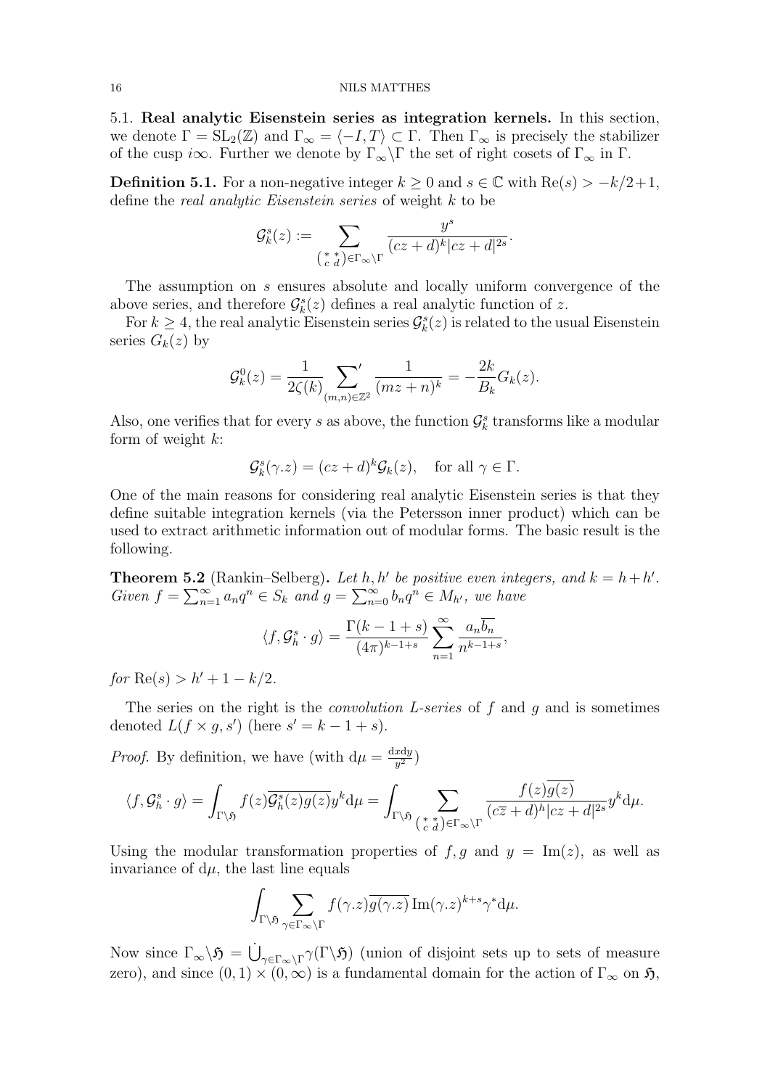5.1. Real analytic Eisenstein series as integration kernels. In this section, we denote  $\Gamma = SL_2(\mathbb{Z})$  and  $\Gamma_{\infty} = \langle -I, T \rangle \subset \Gamma$ . Then  $\Gamma_{\infty}$  is precisely the stabilizer of the cusp i $\infty$ . Further we denote by  $\Gamma_{\infty}\backslash\Gamma$  the set of right cosets of  $\Gamma_{\infty}$  in  $\Gamma$ .

**Definition 5.1.** For a non-negative integer  $k \geq 0$  and  $s \in \mathbb{C}$  with Re(s) >  $-k/2+1$ , define the *real analytic Eisenstein series* of weight k to be

$$
\mathcal{G}_k^s(z):=\sum_{\left(\begin{smallmatrix} * & * \\ c & d \end{smallmatrix}\right) \in \Gamma_{\infty}\backslash \Gamma} \frac{y^s}{(cz+d)^k|cz+d|^{2s}}.
$$

The assumption on s ensures absolute and locally uniform convergence of the above series, and therefore  $\mathcal{G}_{k}^{s}(z)$  defines a real analytic function of z.

For  $k \geq 4$ , the real analytic Eisenstein series  $\mathcal{G}_k^s(z)$  is related to the usual Eisenstein series  $G_k(z)$  by

$$
\mathcal{G}_k^0(z) = \frac{1}{2\zeta(k)} \sum_{(m,n)\in\mathbb{Z}^2} \frac{1}{(mz+n)^k} = -\frac{2k}{B_k} G_k(z).
$$

Also, one verifies that for every s as above, the function  $\mathcal{G}_{k}^{s}$  transforms like a modular form of weight  $k$ :

$$
\mathcal{G}_{k}^{s}(\gamma.z) = (cz+d)^{k}\mathcal{G}_{k}(z), \text{ for all } \gamma \in \Gamma.
$$

One of the main reasons for considering real analytic Eisenstein series is that they define suitable integration kernels (via the Petersson inner product) which can be used to extract arithmetic information out of modular forms. The basic result is the following.

**Theorem 5.2** (Rankin–Selberg). Let h, h' be positive even integers, and  $k = h + h'$ . Given  $f = \sum_{n=1}^{\infty} a_n q^n \in S_k$  and  $g = \sum_{n=0}^{\infty} b_n q^n \in M_{h'}$ , we have

$$
\langle f, \mathcal{G}^s_h \cdot g \rangle = \frac{\Gamma(k-1+s)}{(4\pi)^{k-1+s}} \sum_{n=1}^{\infty} \frac{a_n \overline{b_n}}{n^{k-1+s}},
$$

 $for \ Re(s) > h' + 1 - k/2.$ 

The series on the right is the *convolution L-series* of f and g and is sometimes denoted  $L(f \times g, s')$  (here  $s' = k - 1 + s$ ).

*Proof.* By definition, we have (with  $d\mu = \frac{dxdy}{dt}$  $\frac{x \mathrm{d} y}{y^2}$ 

$$
\langle f, \mathcal{G}^s_h \cdot g \rangle = \int_{\Gamma \backslash \mathfrak{H}} f(z) \overline{\mathcal{G}^s_h(z) g(z)} y^k \mathrm{d} \mu = \int_{\Gamma \backslash \mathfrak{H}} \sum_{\left(\begin{smallmatrix} \ast & \ast \\ c & d \end{smallmatrix} \right) \in \Gamma_{\infty} \backslash \Gamma} \frac{f(z) \overline{g(z)}}{(c \overline{z} + d)^h |cz + d|^{2s}} y^k \mathrm{d} \mu.
$$

Using the modular transformation properties of  $f, g$  and  $y = \text{Im}(z)$ , as well as invariance of  $d\mu$ , the last line equals

$$
\int_{\Gamma\backslash\mathfrak{H}}\sum_{\gamma\in\Gamma_{\infty}\backslash\Gamma}f(\gamma.z)\overline{g(\gamma.z)}\operatorname{Im}(\gamma.z)^{k+s}\gamma^*\mathrm{d}\mu.
$$

Now since  $\Gamma_{\infty}\backslash\mathfrak{H} = \dot{\bigcup}_{\gamma\in\Gamma_{\infty}\backslash\Gamma}\gamma(\Gamma\backslash\mathfrak{H})$  (union of disjoint sets up to sets of measure zero), and since  $(0, 1) \times (0, \infty)$  is a fundamental domain for the action of  $\Gamma_{\infty}$  on  $\mathfrak{H}$ ,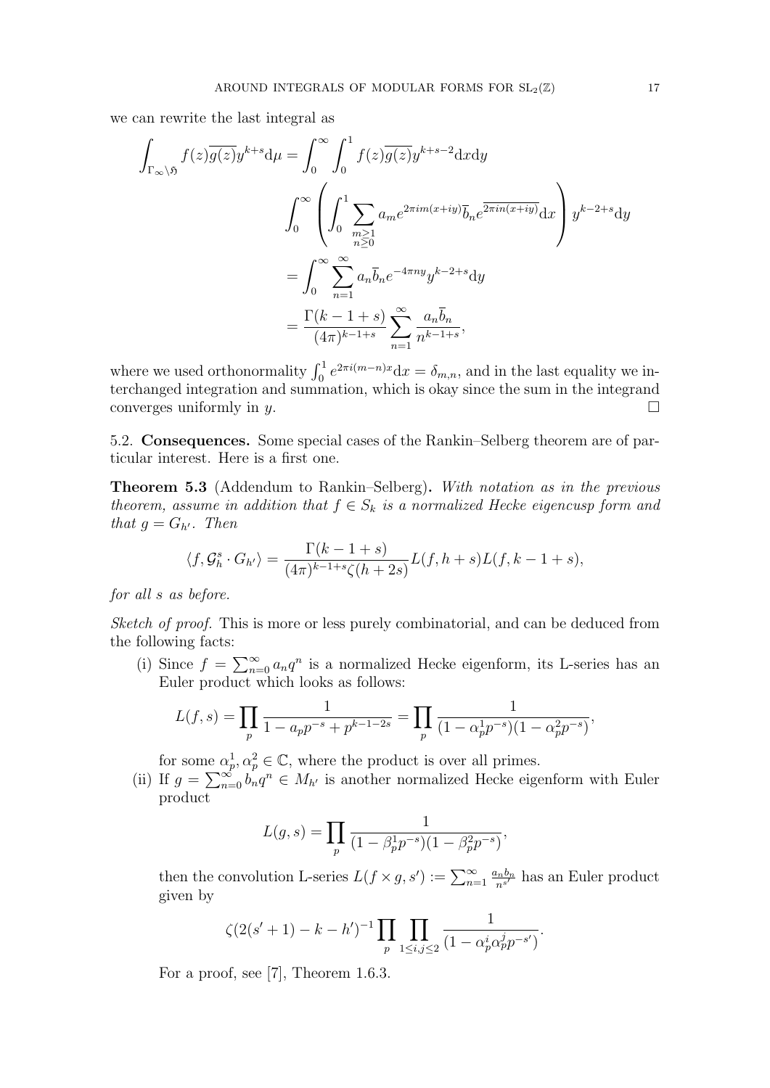we can rewrite the last integral as

$$
\int_{\Gamma_{\infty}\backslash\mathfrak{H}} f(z)\overline{g(z)}y^{k+s}d\mu = \int_{0}^{\infty} \int_{0}^{1} f(z)\overline{g(z)}y^{k+s-2}dxdy
$$
\n
$$
\int_{0}^{\infty} \left(\int_{0}^{1} \sum_{\substack{m\geq 1\\n\geq 0}} a_{m}e^{2\pi im(x+iy)}\overline{b}_{n}e^{\overline{2\pi in(x+iy)}}dx\right)y^{k-2+s}dy
$$
\n
$$
= \int_{0}^{\infty} \sum_{n=1}^{\infty} a_{n}\overline{b}_{n}e^{-4\pi ny}y^{k-2+s}dy
$$
\n
$$
= \frac{\Gamma(k-1+s)}{(4\pi)^{k-1+s}} \sum_{n=1}^{\infty} \frac{a_{n}\overline{b}_{n}}{n^{k-1+s}},
$$

where we used orthonormality  $\int_0^1 e^{2\pi i(m-n)x} dx = \delta_{m,n}$ , and in the last equality we interchanged integration and summation, which is okay since the sum in the integrand converges uniformly in  $\psi$ .

5.2. Consequences. Some special cases of the Rankin–Selberg theorem are of particular interest. Here is a first one.

Theorem 5.3 (Addendum to Rankin–Selberg). With notation as in the previous theorem, assume in addition that  $f \in S_k$  is a normalized Hecke eigencusp form and that  $q = G_{h'}$ . Then

$$
\langle f, \mathcal{G}_h^s \cdot G_{h'} \rangle = \frac{\Gamma(k-1+s)}{(4\pi)^{k-1+s} \zeta(h+2s)} L(f, h+s)L(f, k-1+s),
$$

for all s as before.

Sketch of proof. This is more or less purely combinatorial, and can be deduced from the following facts:

(i) Since  $f = \sum_{n=0}^{\infty} a_n q^n$  is a normalized Hecke eigenform, its L-series has an Euler product which looks as follows:

$$
L(f,s) = \prod_{p} \frac{1}{1 - a_p p^{-s} + p^{k-1-2s}} = \prod_{p} \frac{1}{(1 - \alpha_p^1 p^{-s})(1 - \alpha_p^2 p^{-s})},
$$

for some  $\alpha_p^1, \alpha_p^2 \in \mathbb{C}$ , where the product is over all primes.

(ii) If  $g = \sum_{n=0}^{\infty} b_n q^n \in M_{h'}$  is another normalized Hecke eigenform with Euler product

$$
L(g, s) = \prod_{p} \frac{1}{(1 - \beta_p^1 p^{-s})(1 - \beta_p^2 p^{-s})},
$$

then the convolution L-series  $L(f \times g, s') := \sum_{n=1}^{\infty} \frac{a_n b_n}{n^{s'}}$  has an Euler product given by

$$
\zeta(2(s'+1)-k-h')^{-1}\prod_{p}\prod_{1\leq i,j\leq 2}\frac{1}{(1-\alpha_p^i\alpha_p^jp^{-s'})}.
$$

For a proof, see [7], Theorem 1.6.3.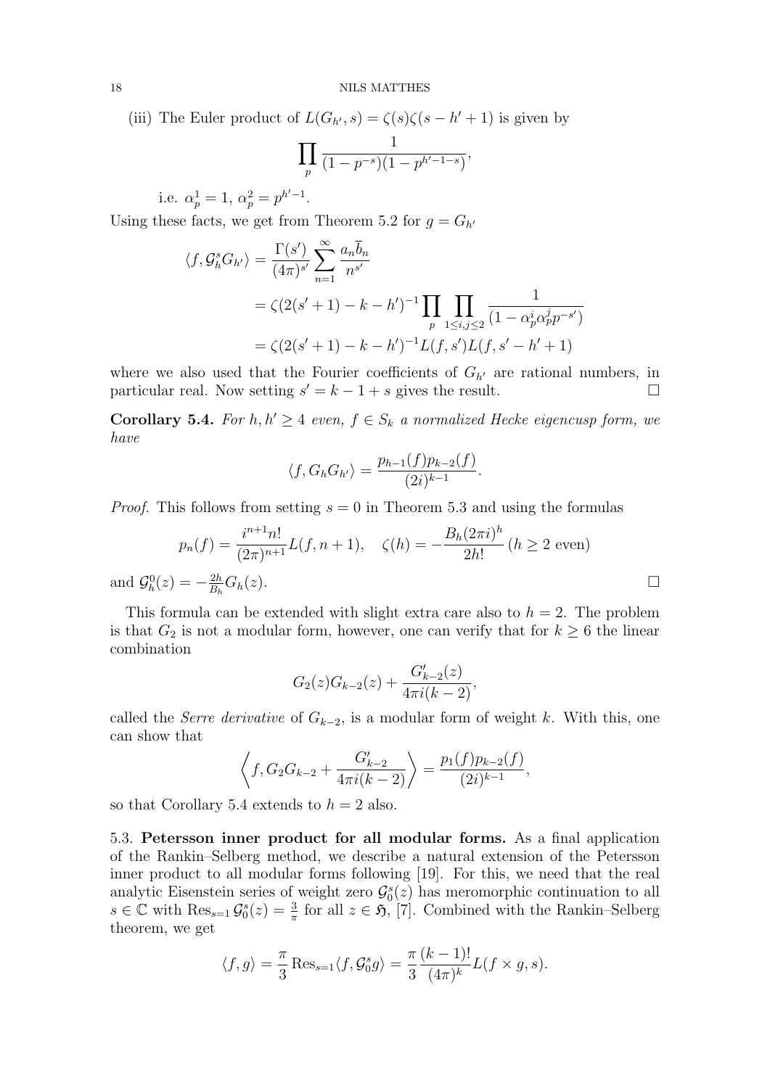(iii) The Euler product of  $L(G_{h'}, s) = \zeta(s)\zeta(s-h'+1)$  is given by

$$
\prod_{p} \frac{1}{(1-p^{-s})(1-p^{h'-1-s})},
$$

i.e.  $\alpha_p^1 = 1, \ \alpha_p^2 = p^{h'-1}.$ 

Using these facts, we get from Theorem 5.2 for  $g = G_{h'}$ 

$$
\langle f, \mathcal{G}_h^s G_{h'} \rangle = \frac{\Gamma(s')}{(4\pi)^{s'}} \sum_{n=1}^{\infty} \frac{a_n \overline{b}_n}{n^{s'}}
$$
  
=  $\zeta (2(s' + 1) - k - h')^{-1} \prod_p \prod_{1 \le i, j \le 2} \frac{1}{(1 - \alpha_p^i \alpha_p^j p^{-s'})}$   
=  $\zeta (2(s' + 1) - k - h')^{-1} L(f, s') L(f, s' - h' + 1)$ 

where we also used that the Fourier coefficients of  $G_{h'}$  are rational numbers, in particular real. Now setting  $s' = k - 1 + s$  gives the result.

**Corollary 5.4.** For  $h, h' \geq 4$  even,  $f \in S_k$  a normalized Hecke eigencusp form, we have

$$
\langle f, G_h G_{h'} \rangle = \frac{p_{h-1}(f)p_{k-2}(f)}{(2i)^{k-1}}
$$

*Proof.* This follows from setting  $s = 0$  in Theorem 5.3 and using the formulas

$$
p_n(f) = \frac{i^{n+1}n!}{(2\pi)^{n+1}} L(f, n+1), \quad \zeta(h) = -\frac{B_h(2\pi i)^h}{2h!} (h \ge 2 \text{ even})
$$
  

$$
z) = -\frac{2h}{B_h} G_h(z).
$$

.

and  $\mathcal{G}_h^0(z) = B_h$ 

This formula can be extended with slight extra care also to  $h = 2$ . The problem is that  $G_2$  is not a modular form, however, one can verify that for  $k \geq 6$  the linear combination

$$
G_2(z)G_{k-2}(z) + \frac{G'_{k-2}(z)}{4\pi i(k-2)},
$$

called the Serre derivative of  $G_{k-2}$ , is a modular form of weight k. With this, one can show that

$$
\left\langle f, G_2 G_{k-2} + \frac{G'_{k-2}}{4\pi i(k-2)} \right\rangle = \frac{p_1(f)p_{k-2}(f)}{(2i)^{k-1}},
$$

so that Corollary 5.4 extends to  $h = 2$  also.

5.3. Petersson inner product for all modular forms. As a final application of the Rankin–Selberg method, we describe a natural extension of the Petersson inner product to all modular forms following [19]. For this, we need that the real analytic Eisenstein series of weight zero  $\mathcal{G}_0^s(z)$  has meromorphic continuation to all  $s \in \mathbb{C}$  with  $\text{Res}_{s=1} \mathcal{G}_{0}^{s}(z) = \frac{3}{\pi}$  for all  $z \in \mathfrak{H}$ , [7]. Combined with the Rankin–Selberg theorem, we get

$$
\langle f, g \rangle = \frac{\pi}{3} \text{Res}_{s=1} \langle f, \mathcal{G}_0^s g \rangle = \frac{\pi}{3} \frac{(k-1)!}{(4\pi)^k} L(f \times g, s).
$$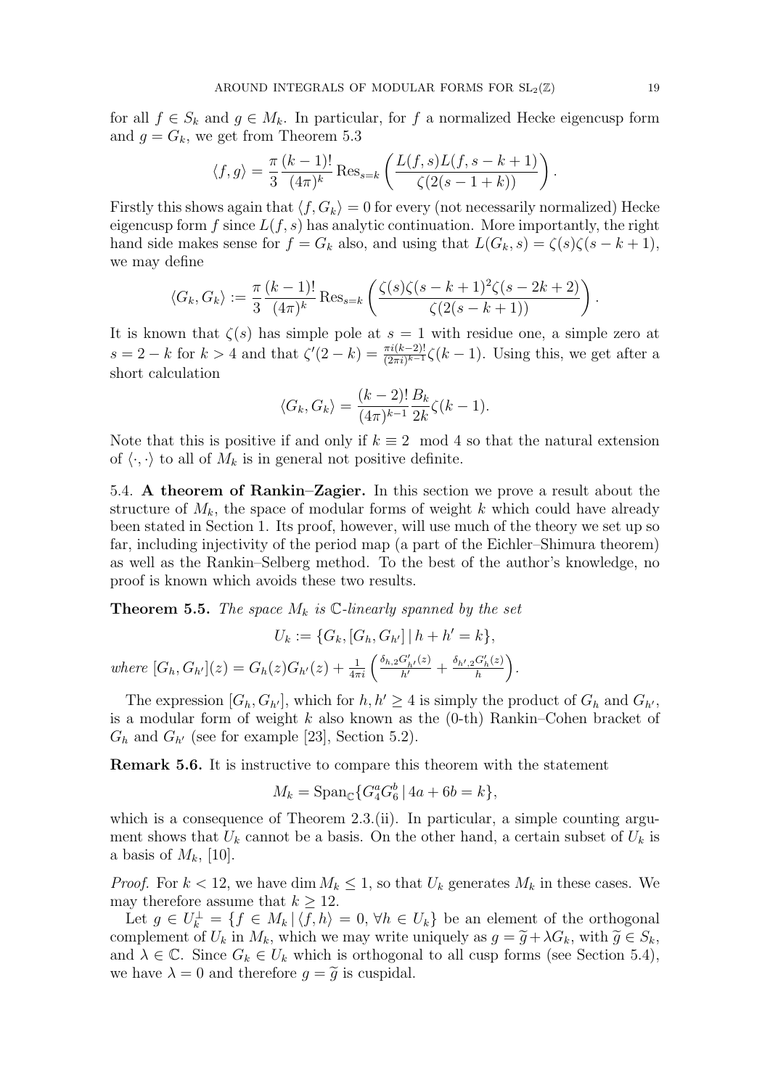for all  $f \in S_k$  and  $g \in M_k$ . In particular, for f a normalized Hecke eigencusp form and  $q = G_k$ , we get from Theorem 5.3

$$
\langle f, g \rangle = \frac{\pi (k-1)!}{3 (4\pi)^k} Res_{s=k} \left( \frac{L(f, s)L(f, s-k+1)}{\zeta(2(s-1+k))} \right).
$$

Firstly this shows again that  $\langle f, G_k \rangle = 0$  for every (not necessarily normalized) Hecke eigencusp form  $f$  since  $L(f, s)$  has analytic continuation. More importantly, the right hand side makes sense for  $f = G_k$  also, and using that  $L(G_k, s) = \zeta(s)\zeta(s - k + 1)$ , we may define

$$
\langle G_k, G_k \rangle := \frac{\pi}{3} \frac{(k-1)!}{(4\pi)^k} \operatorname{Res}_{s=k} \left( \frac{\zeta(s)\zeta(s-k+1)^2 \zeta(s-2k+2)}{\zeta(2(s-k+1))} \right).
$$

It is known that  $\zeta(s)$  has simple pole at  $s = 1$  with residue one, a simple zero at  $s = 2 - k$  for  $k > 4$  and that  $\zeta'(2 - k) = \frac{\pi i (k-2)!}{(2\pi i)^{k-1}} \zeta(k-1)$ . Using this, we get after a short calculation

$$
\langle G_k, G_k \rangle = \frac{(k-2)!}{(4\pi)^{k-1}} \frac{B_k}{2k} \zeta(k-1).
$$

Note that this is positive if and only if  $k \equiv 2 \mod 4$  so that the natural extension of  $\langle \cdot, \cdot \rangle$  to all of  $M_k$  is in general not positive definite.

5.4. A theorem of Rankin–Zagier. In this section we prove a result about the structure of  $M_k$ , the space of modular forms of weight k which could have already been stated in Section 1. Its proof, however, will use much of the theory we set up so far, including injectivity of the period map (a part of the Eichler–Shimura theorem) as well as the Rankin–Selberg method. To the best of the author's knowledge, no proof is known which avoids these two results.

**Theorem 5.5.** The space  $M_k$  is  $\mathbb{C}\text{-linearly spanned by the set}$ 

$$
U_k := \{G_k, [G_h, G_{h'}] \mid h + h' = k\},\
$$
  
where  $[G_h, G_{h'}](z) = G_h(z)G_{h'}(z) + \frac{1}{4\pi i} \left(\frac{\delta_{h,2} G'_{h'}(z)}{h'} + \frac{\delta_{h',2} G'_h(z)}{h}\right).$ 

The expression  $[G_h, G_{h'}]$ , which for  $h, h' \geq 4$  is simply the product of  $G_h$  and  $G_{h'}$ , is a modular form of weight  $k$  also known as the  $(0-th)$  Rankin–Cohen bracket of  $G_h$  and  $G_{h'}$  (see for example [23], Section 5.2).

Remark 5.6. It is instructive to compare this theorem with the statement

$$
M_k = \text{Span}_{\mathbb{C}} \{ G_4^a G_6^b \, | \, 4a + 6b = k \},
$$

which is a consequence of Theorem  $2.3$ . (ii). In particular, a simple counting argument shows that  $U_k$  cannot be a basis. On the other hand, a certain subset of  $U_k$  is a basis of  $M_k$ , [10].

*Proof.* For  $k < 12$ , we have dim  $M_k \leq 1$ , so that  $U_k$  generates  $M_k$  in these cases. We may therefore assume that  $k > 12$ .

Let  $g \in U_k^{\perp} = \{f \in M_k \, | \, \langle f, h \rangle = 0, \forall h \in U_k\}$  be an element of the orthogonal complement of  $U_k$  in  $M_k$ , which we may write uniquely as  $g = \tilde{g} + \lambda G_k$ , with  $\tilde{g} \in S_k$ , and  $\lambda \in \mathbb{C}$ . Since  $G_k \in U_k$  which is orthogonal to all cusp forms (see Section 5.4), we have  $\lambda = 0$  and therefore  $g = \tilde{g}$  is cuspidal.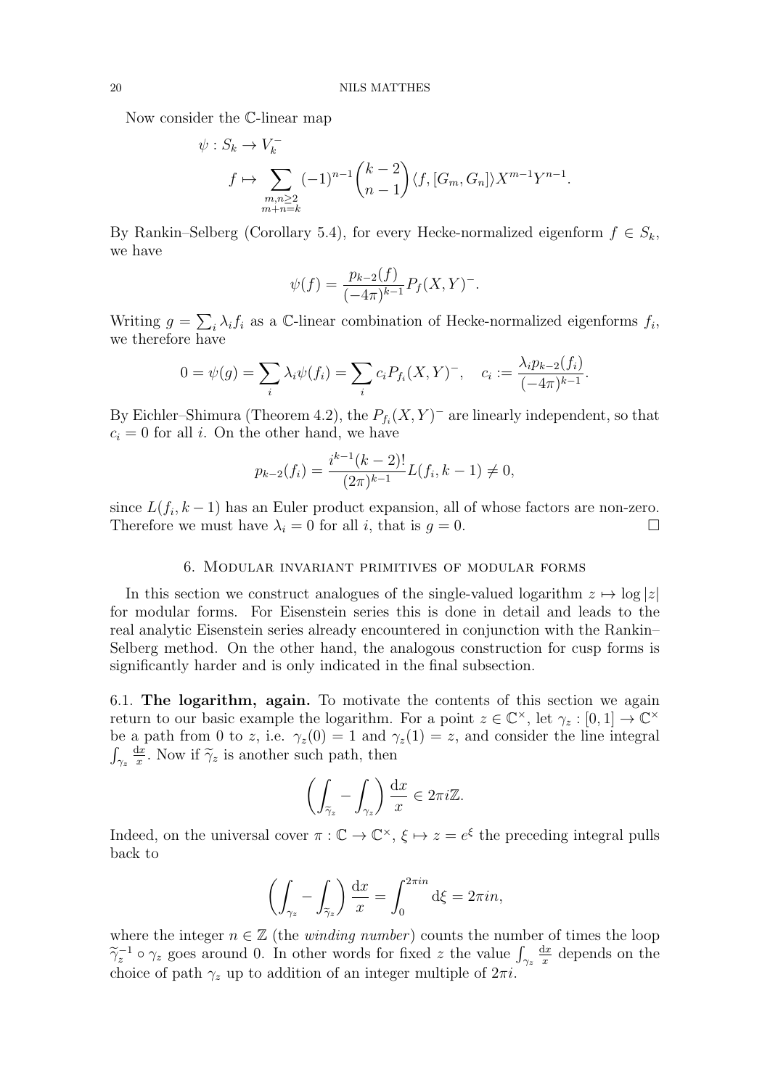Now consider the C-linear map

$$
\psi: S_k \to V_k^-
$$
  

$$
f \mapsto \sum_{\substack{m,n \geq 2 \\ m+n=k}} (-1)^{n-1} {k-2 \choose n-1} \langle f, [G_m, G_n] \rangle X^{m-1} Y^{n-1}.
$$

By Rankin–Selberg (Corollary 5.4), for every Hecke-normalized eigenform  $f \in S_k$ , we have

$$
\psi(f) = \frac{p_{k-2}(f)}{(-4\pi)^{k-1}} P_f(X, Y)^{-}.
$$

Writing  $g = \sum_i \lambda_i f_i$  as a C-linear combination of Hecke-normalized eigenforms  $f_i$ , we therefore have

$$
0 = \psi(g) = \sum_{i} \lambda_i \psi(f_i) = \sum_{i} c_i P_{f_i}(X, Y)^{-}, \quad c_i := \frac{\lambda_i p_{k-2}(f_i)}{(-4\pi)^{k-1}}.
$$

By Eichler–Shimura (Theorem 4.2), the  $P_{f_i}(X, Y)$ <sup>-</sup> are linearly independent, so that  $c_i = 0$  for all i. On the other hand, we have

$$
p_{k-2}(f_i) = \frac{i^{k-1}(k-2)!}{(2\pi)^{k-1}} L(f_i, k-1) \neq 0,
$$

since  $L(f_i, k-1)$  has an Euler product expansion, all of whose factors are non-zero. Therefore we must have  $\lambda_i = 0$  for all i, that is  $g = 0$ .

### 6. Modular invariant primitives of modular forms

In this section we construct analogues of the single-valued logarithm  $z \mapsto \log |z|$ for modular forms. For Eisenstein series this is done in detail and leads to the real analytic Eisenstein series already encountered in conjunction with the Rankin– Selberg method. On the other hand, the analogous construction for cusp forms is significantly harder and is only indicated in the final subsection.

6.1. The logarithm, again. To motivate the contents of this section we again return to our basic example the logarithm. For a point  $z \in \mathbb{C}^{\times}$ , let  $\gamma_z : [0,1] \to \mathbb{C}^{\times}$ be a path from 0 to z, i.e.  $\gamma_z(0) = 1$  and  $\gamma_z(1) = z$ , and consider the line integral  $\int_{\gamma_z}$  $\frac{dx}{ }$  $\frac{dx}{x}$ . Now if  $\tilde{\gamma}_z$  is another such path, then

$$
\left(\int_{\widetilde{\gamma}_z} - \int_{\gamma_z}\right) \frac{\mathrm{d}x}{x} \in 2\pi i \mathbb{Z}.
$$

Indeed, on the universal cover  $\pi : \mathbb{C} \to \mathbb{C}^\times$ ,  $\xi \mapsto z = e^{\xi}$  the preceding integral pulls back to

$$
\left(\int_{\gamma_z} - \int_{\tilde{\gamma}_z}\right) \frac{\mathrm{d}x}{x} = \int_0^{2\pi i n} \mathrm{d}\xi = 2\pi i n,
$$

where the integer  $n \in \mathbb{Z}$  (the *winding number*) counts the number of times the loop  $\tilde{\gamma}_z^{-1} \circ \gamma_z$  goes around 0. In other words for fixed z the value  $\int_{\gamma_z}$  $dx$  $\frac{dx}{x}$  depends on the choice of path  $\gamma_z$  up to addition of an integer multiple of  $2\pi i$ .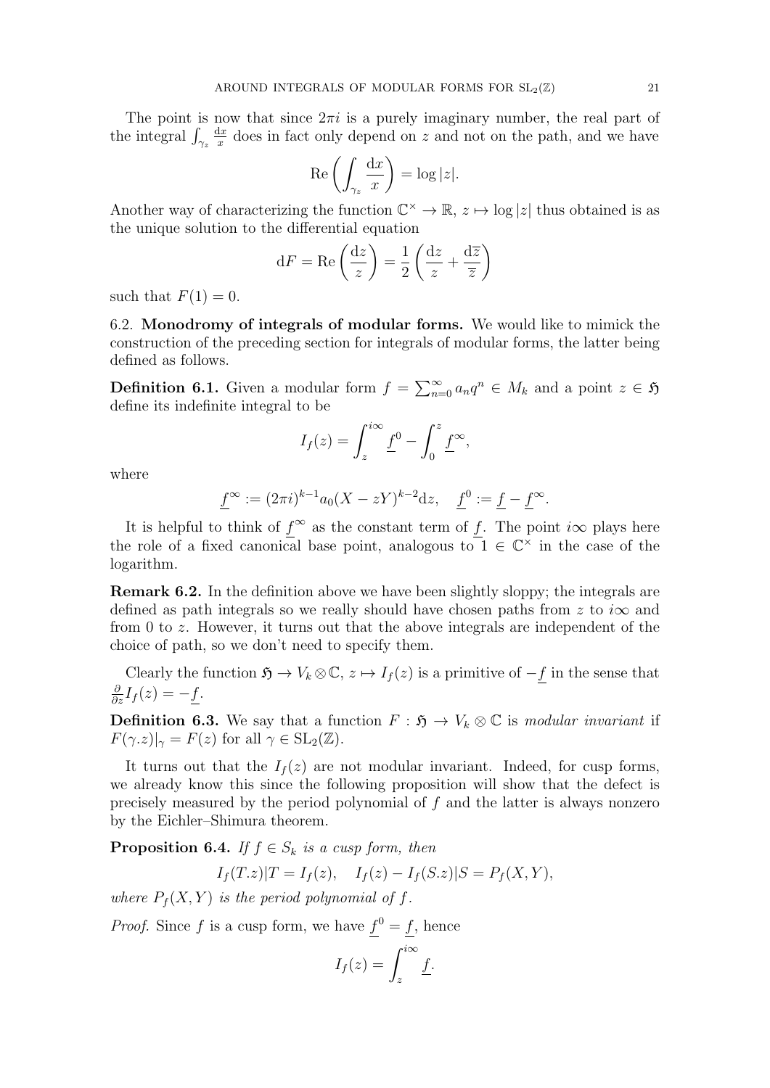The point is now that since  $2\pi i$  is a purely imaginary number, the real part of the integral  $\int_{\gamma_z}$  $\frac{\mathrm{d}x}{\mathrm{d}x}$  $\frac{dx}{dx}$  does in fact only depend on z and not on the path, and we have

$$
\operatorname{Re}\left(\int_{\gamma_z} \frac{\mathrm{d}x}{x}\right) = \log|z|.
$$

Another way of characterizing the function  $\mathbb{C}^{\times} \to \mathbb{R}, z \mapsto \log |z|$  thus obtained is as the unique solution to the differential equation

$$
dF = \text{Re}\left(\frac{dz}{z}\right) = \frac{1}{2}\left(\frac{dz}{z} + \frac{d\overline{z}}{\overline{z}}\right)
$$

such that  $F(1) = 0$ .

6.2. Monodromy of integrals of modular forms. We would like to mimick the construction of the preceding section for integrals of modular forms, the latter being defined as follows.

**Definition 6.1.** Given a modular form  $f = \sum_{n=0}^{\infty} a_n q^n \in M_k$  and a point  $z \in \mathfrak{H}$ define its indefinite integral to be

$$
I_f(z) = \int_z^{i\infty} \underline{f}^0 - \int_0^z \underline{f}^\infty,
$$

where

$$
\underline{f}^{\infty} := (2\pi i)^{k-1} a_0 (X - zY)^{k-2} dz, \quad \underline{f}^0 := \underline{f} - \underline{f}^{\infty}.
$$

It is helpful to think of  $f^{\infty}$  as the constant term of f. The point  $i\infty$  plays here the role of a fixed canonical base point, analogous to  $1 \in \mathbb{C}^{\times}$  in the case of the logarithm.

Remark 6.2. In the definition above we have been slightly sloppy; the integrals are defined as path integrals so we really should have chosen paths from z to  $i\infty$  and from 0 to z. However, it turns out that the above integrals are independent of the choice of path, so we don't need to specify them.

Clearly the function  $\mathfrak{H} \to V_k \otimes \mathbb{C}$ ,  $z \mapsto I_f(z)$  is a primitive of  $-f$  in the sense that  $\frac{\partial}{\partial z}I_f(z) = -\underline{f}.$ 

**Definition 6.3.** We say that a function  $F : \mathfrak{H} \to V_k \otimes \mathbb{C}$  is modular invariant if  $F(\gamma.z)|_{\gamma} = F(z)$  for all  $\gamma \in SL_2(\mathbb{Z})$ .

It turns out that the  $I_f(z)$  are not modular invariant. Indeed, for cusp forms, we already know this since the following proposition will show that the defect is precisely measured by the period polynomial of f and the latter is always nonzero by the Eichler–Shimura theorem.

**Proposition 6.4.** If  $f \in S_k$  is a cusp form, then

$$
I_f(T.z)|T = I_f(z), \quad I_f(z) - I_f(S.z)|S = P_f(X,Y),
$$

where  $P_f(X, Y)$  is the period polynomial of f.

*Proof.* Since f is a cusp form, we have  $f^0 = f$ , hence

$$
I_f(z) = \int_z^{i\infty} \underline{f}.
$$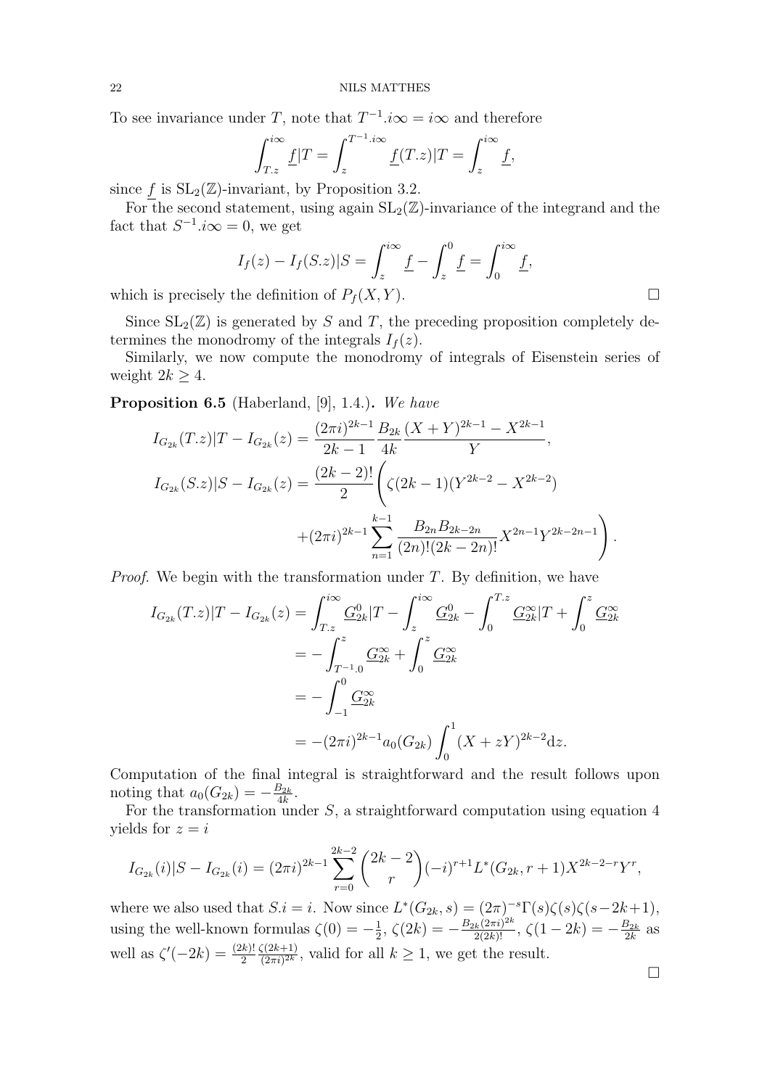To see invariance under T, note that  $T^{-1}$ . $i\infty = i\infty$  and therefore

$$
\int_{T.z}^{i\infty} \underline{f}|T = \int_{z}^{T^{-1} . i\infty} \underline{f}(T.z)|T = \int_{z}^{i\infty} \underline{f},
$$

since f is  $SL_2(\mathbb{Z})$ -invariant, by Proposition 3.2.

For the second statement, using again  $SL_2(\mathbb{Z})$ -invariance of the integrand and the fact that  $S^{-1}.i\infty = 0$ , we get

$$
I_f(z) - I_f(S.z)|S = \int_z^{i\infty} \underline{f} - \int_z^0 \underline{f} = \int_0^{i\infty} \underline{f},
$$
  
the definition of  $P_1(Y, Y)$ 

which is precisely the definition of  $P_f(X, Y)$ .

Since  $SL_2(\mathbb{Z})$  is generated by S and T, the preceding proposition completely determines the monodromy of the integrals  $I_f(z)$ .

Similarly, we now compute the monodromy of integrals of Eisenstein series of weight  $2k > 4$ .

Proposition 6.5 (Haberland, [9], 1.4.). We have

$$
I_{G_{2k}}(T.z)|T - I_{G_{2k}}(z) = \frac{(2\pi i)^{2k-1}}{2k-1} \frac{B_{2k}}{4k} \frac{(X+Y)^{2k-1} - X^{2k-1}}{Y},
$$
  
\n
$$
I_{G_{2k}}(S.z)|S - I_{G_{2k}}(z) = \frac{(2k-2)!}{2} \left( \zeta(2k-1)(Y^{2k-2} - X^{2k-2}) + (2\pi i)^{2k-1} \sum_{n=1}^{k-1} \frac{B_{2n}B_{2k-2n}}{(2n)!(2k-2n)!} X^{2n-1} Y^{2k-2n-1} \right).
$$

*Proof.* We begin with the transformation under  $T$ . By definition, we have

$$
I_{G_{2k}}(T.z)|T - I_{G_{2k}}(z) = \int_{T.z}^{i\infty} \frac{G_{2k}^{0}}{T} \left|T - \int_{z}^{i\infty} \frac{G_{2k}^{0}}{T} \right|_{0}^{T.z} \frac{G_{2k}^{\infty}}{T} + \int_{0}^{z} \frac{G_{2k}^{\infty}}{T} \left|T - \int_{0}^{z} \frac{G_{2k}^{\infty}}{T} \right|_{0}^{z} d\omega_{k}
$$
  
= 
$$
- \int_{-1}^{0} \frac{G_{2k}^{\infty}}{T} \left|T - \int_{0}^{z} \frac{G_{2k}^{\infty}}{T} \right|_{0}^{z} d\omega_{k}
$$
  
= 
$$
- (2\pi i)^{2k-1} a_{0} (G_{2k}) \int_{0}^{1} (X + zY)^{2k-2} dz.
$$

Computation of the final integral is straightforward and the result follows upon noting that  $a_0(G_{2k}) = -\frac{B_{2k}}{4k}$  $\frac{32k}{4k}$ .

For the transformation under  $S$ , a straightforward computation using equation 4 yields for  $z = i$ 

$$
I_{G_{2k}}(i)|S - I_{G_{2k}}(i) = (2\pi i)^{2k-1} \sum_{r=0}^{2k-2} {2k-2 \choose r} (-i)^{r+1} L^*(G_{2k}, r+1) X^{2k-2-r} Y^r,
$$

where we also used that  $S.i = i$ . Now since  $L^*(G_{2k}, s) = (2\pi)^{-s} \Gamma(s) \zeta(s) \zeta(s-2k+1)$ , using the well-known formulas  $\zeta(0) = -\frac{1}{2}$  $\frac{1}{2}$ ,  $\zeta(2k) = -\frac{B_{2k}(2\pi i)^{2k}}{2(2k)!}$ ,  $\zeta(1-2k) = -\frac{B_{2k}}{2k}$  $\frac{B_{2k}}{2k}$  as well as  $\zeta'(-2k) = \frac{(2k)!}{2}$  $\zeta(2k+1)$  $\frac{\zeta(2k+1)}{(2\pi i)^{2k}}$ , valid for all  $k \geq 1$ , we get the result.

 $\Box$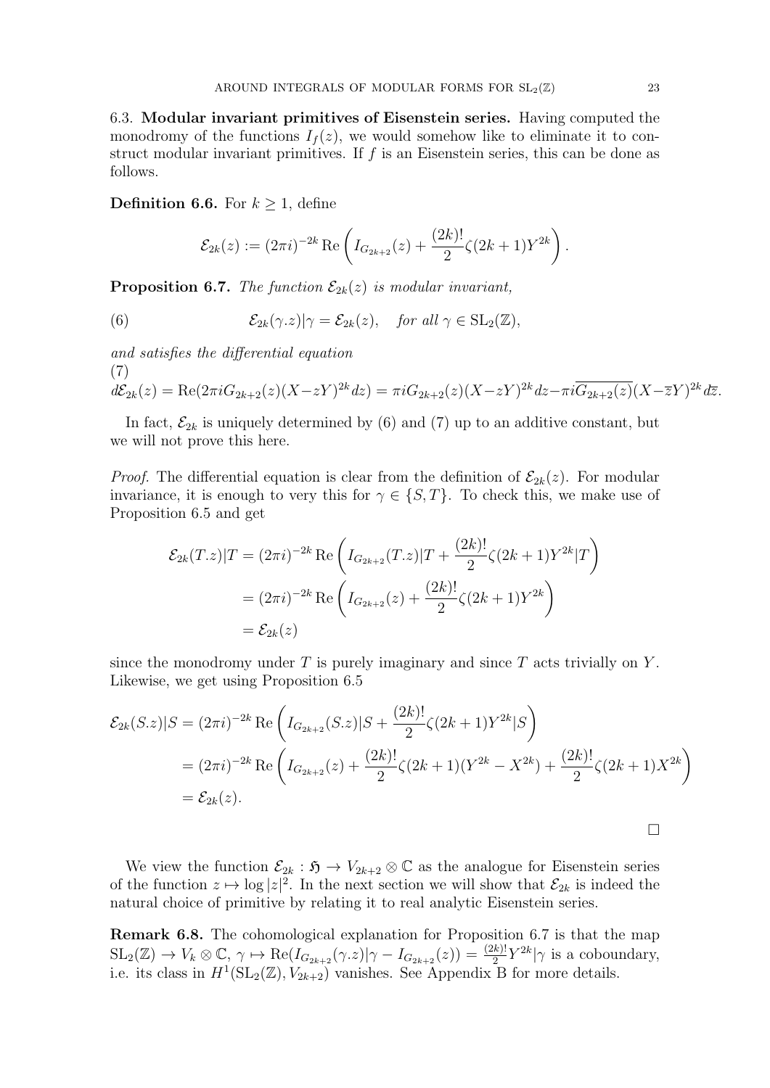6.3. Modular invariant primitives of Eisenstein series. Having computed the monodromy of the functions  $I_f(z)$ , we would somehow like to eliminate it to construct modular invariant primitives. If  $f$  is an Eisenstein series, this can be done as follows.

**Definition 6.6.** For  $k \geq 1$ , define

$$
\mathcal{E}_{2k}(z) := (2\pi i)^{-2k} \operatorname{Re} \left( I_{G_{2k+2}}(z) + \frac{(2k)!}{2} \zeta(2k+1) Y^{2k} \right).
$$

**Proposition 6.7.** The function  $\mathcal{E}_{2k}(z)$  is modular invariant,

(6) 
$$
\mathcal{E}_{2k}(\gamma.z)|\gamma = \mathcal{E}_{2k}(z), \quad \text{for all } \gamma \in SL_2(\mathbb{Z}),
$$

and satisfies the differential equation (7)

$$
d\mathcal{E}_{2k}(z) = \text{Re}(2\pi i G_{2k+2}(z)(X-zY)^{2k} dz) = \pi i G_{2k+2}(z)(X-zY)^{2k} dz - \pi i \overline{G_{2k+2}(z)}(X-\overline{z}Y)^{2k} d\overline{z}.
$$

In fact,  $\mathcal{E}_{2k}$  is uniquely determined by (6) and (7) up to an additive constant, but we will not prove this here.

*Proof.* The differential equation is clear from the definition of  $\mathcal{E}_{2k}(z)$ . For modular invariance, it is enough to very this for  $\gamma \in \{S, T\}$ . To check this, we make use of Proposition 6.5 and get

$$
\mathcal{E}_{2k}(T,z)|T = (2\pi i)^{-2k} \operatorname{Re} \left( I_{G_{2k+2}}(T,z)|T + \frac{(2k)!}{2} \zeta(2k+1)Y^{2k}|T \right)
$$
  
=  $(2\pi i)^{-2k} \operatorname{Re} \left( I_{G_{2k+2}}(z) + \frac{(2k)!}{2} \zeta(2k+1)Y^{2k} \right)$   
=  $\mathcal{E}_{2k}(z)$ 

since the monodromy under  $T$  is purely imaginary and since  $T$  acts trivially on  $Y$ . Likewise, we get using Proposition 6.5

$$
\mathcal{E}_{2k}(S.z)|S = (2\pi i)^{-2k} \operatorname{Re} \left( I_{G_{2k+2}}(S.z)|S + \frac{(2k)!}{2} \zeta(2k+1)Y^{2k}|S \right)
$$
  
=  $(2\pi i)^{-2k} \operatorname{Re} \left( I_{G_{2k+2}}(z) + \frac{(2k)!}{2} \zeta(2k+1)(Y^{2k} - X^{2k}) + \frac{(2k)!}{2} \zeta(2k+1)X^{2k} \right)$   
=  $\mathcal{E}_{2k}(z).$ 

We view the function  $\mathcal{E}_{2k} : \mathfrak{H} \to V_{2k+2} \otimes \mathbb{C}$  as the analogue for Eisenstein series of the function  $z \mapsto \log |z|^2$ . In the next section we will show that  $\mathcal{E}_{2k}$  is indeed the natural choice of primitive by relating it to real analytic Eisenstein series.

Remark 6.8. The cohomological explanation for Proposition 6.7 is that the map  $\mathrm{SL}_2(\mathbb{Z}) \to V_k \otimes \mathbb{C}, \, \gamma \mapsto \mathrm{Re}(I_{G_{2k+2}}(\gamma.z)|\gamma - I_{G_{2k+2}}(z)) = \frac{(2k)!}{2} Y^{2k} |\gamma$  is a coboundary, i.e. its class in  $H^1(\mathrm{SL}_2(\mathbb{Z}), V_{2k+2})$  vanishes. See Appendix B for more details.

 $\Box$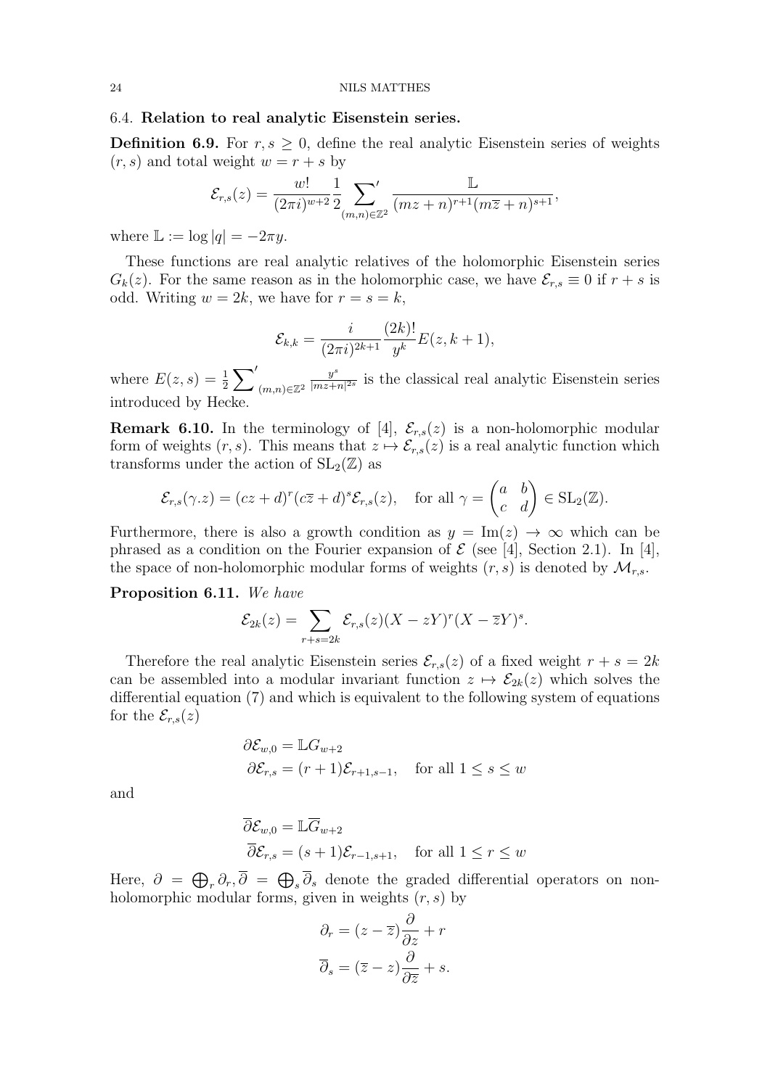### 6.4. Relation to real analytic Eisenstein series.

**Definition 6.9.** For  $r, s \geq 0$ , define the real analytic Eisenstein series of weights  $(r, s)$  and total weight  $w = r + s$  by

$$
\mathcal{E}_{r,s}(z) = \frac{w!}{(2\pi i)^{w+2}} \frac{1}{2} \sum_{(m,n)\in\mathbb{Z}^2} \frac{\mathbb{L}}{(mz+n)^{r+1}(m\overline{z}+n)^{s+1}},
$$

where  $\mathbb{L} := \log |q| = -2\pi y$ .

These functions are real analytic relatives of the holomorphic Eisenstein series  $G_k(z)$ . For the same reason as in the holomorphic case, we have  $\mathcal{E}_{r,s} \equiv 0$  if  $r+s$  is odd. Writing  $w = 2k$ , we have for  $r = s = k$ ,

$$
\mathcal{E}_{k,k} = \frac{i}{(2\pi i)^{2k+1}} \frac{(2k)!}{y^k} E(z, k+1),
$$

where  $E(z, s) = \frac{1}{2} \sum'$  $(m,n) \in \mathbb{Z}^2$  $y^s$  $\frac{y^s}{|mz+n|^{2s}}$  is the classical real analytic Eisenstein series introduced by Hecke.

**Remark 6.10.** In the terminology of [4],  $\mathcal{E}_{r,s}(z)$  is a non-holomorphic modular form of weights  $(r, s)$ . This means that  $z \mapsto \mathcal{E}_{r,s}(z)$  is a real analytic function which transforms under the action of  $SL_2(\mathbb{Z})$  as

$$
\mathcal{E}_{r,s}(\gamma.z) = (cz+d)^r(c\overline{z}+d)^s \mathcal{E}_{r,s}(z), \text{ for all } \gamma = \begin{pmatrix} a & b \\ c & d \end{pmatrix} \in SL_2(\mathbb{Z}).
$$

Furthermore, there is also a growth condition as  $y = \text{Im}(z) \rightarrow \infty$  which can be phrased as a condition on the Fourier expansion of  $\mathcal E$  (see [4], Section 2.1). In [4], the space of non-holomorphic modular forms of weights  $(r, s)$  is denoted by  $\mathcal{M}_{r,s}$ .

# Proposition 6.11. We have

$$
\mathcal{E}_{2k}(z) = \sum_{r+s=2k} \mathcal{E}_{r,s}(z)(X-zY)^r(X-\overline{z}Y)^s.
$$

Therefore the real analytic Eisenstein series  $\mathcal{E}_{r,s}(z)$  of a fixed weight  $r + s = 2k$ can be assembled into a modular invariant function  $z \mapsto \mathcal{E}_{2k}(z)$  which solves the differential equation (7) and which is equivalent to the following system of equations for the  $\mathcal{E}_{r,s}(z)$ 

$$
\partial \mathcal{E}_{w,0} = \mathbb{L} G_{w+2}
$$
  

$$
\partial \mathcal{E}_{r,s} = (r+1)\mathcal{E}_{r+1,s-1}, \quad \text{for all } 1 \le s \le w
$$

and

$$
\overline{\partial}\mathcal{E}_{w,0} = \mathbb{L}\overline{G}_{w+2}
$$
  

$$
\overline{\partial}\mathcal{E}_{r,s} = (s+1)\mathcal{E}_{r-1,s+1}, \text{ for all } 1 \le r \le w
$$

Here,  $\partial = \bigoplus_r \partial_r$ ,  $\overline{\partial} = \bigoplus_s \overline{\partial}_s$  denote the graded differential operators on nonholomorphic modular forms, given in weights  $(r, s)$  by

$$
\partial_r = (z - \overline{z}) \frac{\partial}{\partial z} + r
$$

$$
\overline{\partial}_s = (\overline{z} - z) \frac{\partial}{\partial \overline{z}} + s.
$$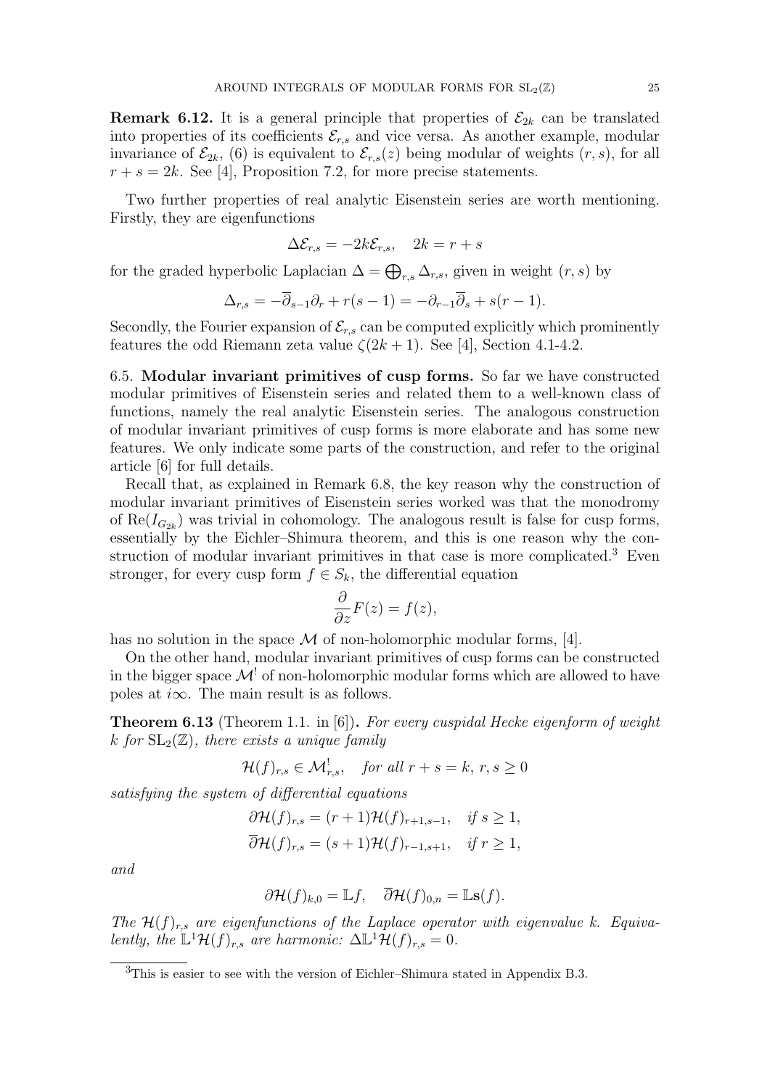**Remark 6.12.** It is a general principle that properties of  $\mathcal{E}_{2k}$  can be translated into properties of its coefficients  $\mathcal{E}_{r,s}$  and vice versa. As another example, modular invariance of  $\mathcal{E}_{2k}$ , (6) is equivalent to  $\mathcal{E}_{r,s}(z)$  being modular of weights  $(r, s)$ , for all  $r + s = 2k$ . See [4], Proposition 7.2, for more precise statements.

Two further properties of real analytic Eisenstein series are worth mentioning. Firstly, they are eigenfunctions

$$
\Delta \mathcal{E}_{r,s} = -2k \mathcal{E}_{r,s}, \quad 2k = r + s
$$

for the graded hyperbolic Laplacian  $\Delta = \bigoplus_{r,s} \Delta_{r,s}$ , given in weight  $(r, s)$  by

$$
\Delta_{r,s} = -\overline{\partial}_{s-1}\partial_r + r(s-1) = -\partial_{r-1}\overline{\partial}_s + s(r-1).
$$

Secondly, the Fourier expansion of  $\mathcal{E}_{r,s}$  can be computed explicitly which prominently features the odd Riemann zeta value  $\zeta(2k+1)$ . See [4], Section 4.1-4.2.

6.5. Modular invariant primitives of cusp forms. So far we have constructed modular primitives of Eisenstein series and related them to a well-known class of functions, namely the real analytic Eisenstein series. The analogous construction of modular invariant primitives of cusp forms is more elaborate and has some new features. We only indicate some parts of the construction, and refer to the original article [6] for full details.

Recall that, as explained in Remark 6.8, the key reason why the construction of modular invariant primitives of Eisenstein series worked was that the monodromy of  $\text{Re}(I_{G_{2k}})$  was trivial in cohomology. The analogous result is false for cusp forms, essentially by the Eichler–Shimura theorem, and this is one reason why the construction of modular invariant primitives in that case is more complicated.<sup>3</sup> Even stronger, for every cusp form  $f \in S_k$ , the differential equation

$$
\frac{\partial}{\partial z}F(z) = f(z),
$$

has no solution in the space  $\mathcal M$  of non-holomorphic modular forms, [4].

On the other hand, modular invariant primitives of cusp forms can be constructed in the bigger space  $\mathcal{M}^!$  of non-holomorphic modular forms which are allowed to have poles at  $i\infty$ . The main result is as follows.

**Theorem 6.13** (Theorem 1.1. in [6]). For every cuspidal Hecke eigenform of weight k for  $SL_2(\mathbb{Z})$ , there exists a unique family

$$
\mathcal{H}(f)_{r,s} \in \mathcal{M}^!_{r,s}, \quad \text{for all } r+s=k, \, r,s \ge 0
$$

satisfying the system of differential equations

$$
\partial \mathcal{H}(f)_{r,s} = (r+1)\mathcal{H}(f)_{r+1,s-1}, \quad \text{if } s \ge 1,
$$
  

$$
\overline{\partial} \mathcal{H}(f)_{r,s} = (s+1)\mathcal{H}(f)_{r-1,s+1}, \quad \text{if } r \ge 1,
$$

and

$$
\partial \mathcal{H}(f)_{k,0} = \mathbb{L}f, \quad \overline{\partial} \mathcal{H}(f)_{0,n} = \mathbb{L}\mathbf{s}(f).
$$

The  $\mathcal{H}(f)_{r,s}$  are eigenfunctions of the Laplace operator with eigenvalue k. Equivalently, the  $\mathbb{L}^1\mathcal{H}(f)_{r,s}$  are harmonic:  $\Delta \mathbb{L}^1\mathcal{H}(f)_{r,s}=0$ .

<sup>3</sup>This is easier to see with the version of Eichler–Shimura stated in Appendix B.3.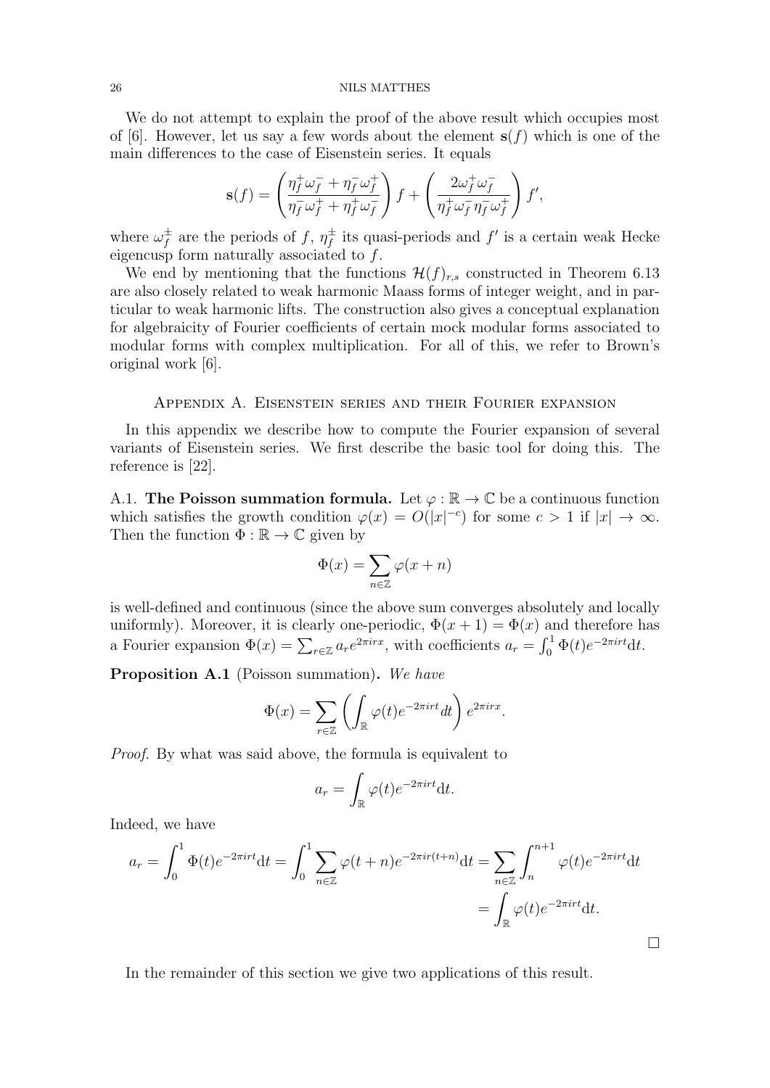We do not attempt to explain the proof of the above result which occupies most of [6]. However, let us say a few words about the element  $s(f)$  which is one of the main differences to the case of Eisenstein series. It equals

$$
\mathbf{s}(f) = \left(\frac{\eta_f^+ \omega_f^- + \eta_f^- \omega_f^+}{\eta_f^- \omega_f^+ + \eta_f^+ \omega_f^-}\right) f + \left(\frac{2\omega_f^+ \omega_f^-}{\eta_f^+ \omega_f^- \eta_f^- \omega_f^+}\right) f',
$$

where  $\omega_f^{\pm}$  $f \over f$  are the periods of f,  $\eta_f^{\pm}$  $\frac{1}{f}$  its quasi-periods and  $f'$  is a certain weak Hecke eigencus form naturally associated to  $f$ .

We end by mentioning that the functions  $\mathcal{H}(f)_{r,s}$  constructed in Theorem 6.13 are also closely related to weak harmonic Maass forms of integer weight, and in particular to weak harmonic lifts. The construction also gives a conceptual explanation for algebraicity of Fourier coefficients of certain mock modular forms associated to modular forms with complex multiplication. For all of this, we refer to Brown's original work [6].

# Appendix A. Eisenstein series and their Fourier expansion

In this appendix we describe how to compute the Fourier expansion of several variants of Eisenstein series. We first describe the basic tool for doing this. The reference is [22].

A.1. The Poisson summation formula. Let  $\varphi : \mathbb{R} \to \mathbb{C}$  be a continuous function which satisfies the growth condition  $\varphi(x) = O(|x|^{-c})$  for some  $c > 1$  if  $|x| \to \infty$ . Then the function  $\Phi : \mathbb{R} \to \mathbb{C}$  given by

$$
\Phi(x)=\sum_{n\in\mathbb{Z}}\varphi(x+n)
$$

is well-defined and continuous (since the above sum converges absolutely and locally uniformly). Moreover, it is clearly one-periodic,  $\Phi(x+1) = \Phi(x)$  and therefore has a Fourier expansion  $\Phi(x) = \sum_{r \in \mathbb{Z}} a_r e^{2\pi irx}$ , with coefficients  $a_r = \int_0^1 \Phi(t) e^{-2\pi irt} dt$ .

Proposition A.1 (Poisson summation). We have

$$
\Phi(x) = \sum_{r \in \mathbb{Z}} \left( \int_{\mathbb{R}} \varphi(t) e^{-2\pi i r t} dt \right) e^{2\pi i r x}.
$$

Proof. By what was said above, the formula is equivalent to

$$
a_r = \int_{\mathbb{R}} \varphi(t) e^{-2\pi i rt} \mathrm{d}t.
$$

Indeed, we have

$$
a_r = \int_0^1 \Phi(t)e^{-2\pi i r t} dt = \int_0^1 \sum_{n \in \mathbb{Z}} \varphi(t+n)e^{-2\pi i r (t+n)} dt = \sum_{n \in \mathbb{Z}} \int_n^{n+1} \varphi(t)e^{-2\pi i r t} dt
$$
  
= 
$$
\int_{\mathbb{R}} \varphi(t)e^{-2\pi i r t} dt.
$$

 $\Box$ 

In the remainder of this section we give two applications of this result.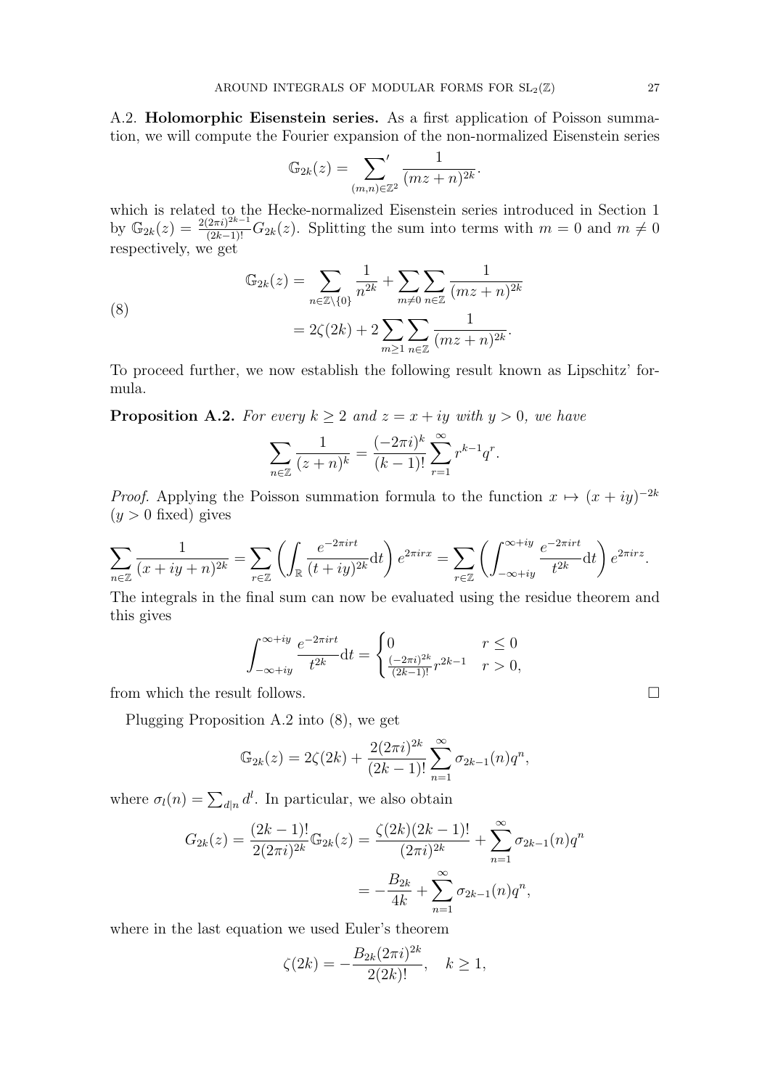A.2. Holomorphic Eisenstein series. As a first application of Poisson summation, we will compute the Fourier expansion of the non-normalized Eisenstein series

$$
\mathbb{G}_{2k}(z) = \sum_{(m,n)\in\mathbb{Z}^2} \frac{1}{(mz+n)^{2k}}.
$$

which is related to the Hecke-normalized Eisenstein series introduced in Section 1 by  $\mathbb{G}_{2k}(z) = \frac{2(2\pi i)^{2k-1}}{(2k-1)!} G_{2k}(z)$ . Splitting the sum into terms with  $m = 0$  and  $m \neq 0$ respectively, we get

(8)  

$$
\mathbb{G}_{2k}(z) = \sum_{n \in \mathbb{Z} \setminus \{0\}} \frac{1}{n^{2k}} + \sum_{m \neq 0} \sum_{n \in \mathbb{Z}} \frac{1}{(mz + n)^{2k}}
$$

$$
= 2\zeta(2k) + 2 \sum_{m \geq 1} \sum_{n \in \mathbb{Z}} \frac{1}{(mz + n)^{2k}}.
$$

To proceed further, we now establish the following result known as Lipschitz' formula.

**Proposition A.2.** For every  $k \geq 2$  and  $z = x + iy$  with  $y > 0$ , we have

$$
\sum_{n \in \mathbb{Z}} \frac{1}{(z+n)^k} = \frac{(-2\pi i)^k}{(k-1)!} \sum_{r=1}^{\infty} r^{k-1} q^r.
$$

*Proof.* Applying the Poisson summation formula to the function  $x \mapsto (x + iy)^{-2k}$  $(y > 0$  fixed) gives

$$
\sum_{n\in\mathbb{Z}}\frac{1}{(x+iy+n)^{2k}}=\sum_{r\in\mathbb{Z}}\left(\int_{\mathbb{R}}\frac{e^{-2\pi i r t}}{(t+iy)^{2k}}\mathrm{d}t\right)e^{2\pi i r x}=\sum_{r\in\mathbb{Z}}\left(\int_{-\infty+iy}^{\infty+iy}\frac{e^{-2\pi i r t}}{t^{2k}}\mathrm{d}t\right)e^{2\pi i r z}.
$$

The integrals in the final sum can now be evaluated using the residue theorem and this gives

$$
\int_{-\infty+iy}^{\infty+iy} \frac{e^{-2\pi i r t}}{t^{2k}} dt = \begin{cases} 0 & r \le 0\\ \frac{(-2\pi i)^{2k}}{(2k-1)!} r^{2k-1} & r > 0, \end{cases}
$$

from which the result follows.  $\Box$ 

Plugging Proposition A.2 into (8), we get

$$
\mathbb{G}_{2k}(z) = 2\zeta(2k) + \frac{2(2\pi i)^{2k}}{(2k-1)!} \sum_{n=1}^{\infty} \sigma_{2k-1}(n) q^n,
$$

where  $\sigma_l(n) = \sum_{d|n} d^l$ . In particular, we also obtain

$$
G_{2k}(z) = \frac{(2k-1)!}{2(2\pi i)^{2k}} \mathbb{G}_{2k}(z) = \frac{\zeta(2k)(2k-1)!}{(2\pi i)^{2k}} + \sum_{n=1}^{\infty} \sigma_{2k-1}(n)q^n
$$

$$
= -\frac{B_{2k}}{4k} + \sum_{n=1}^{\infty} \sigma_{2k-1}(n)q^n,
$$

where in the last equation we used Euler's theorem

$$
\zeta(2k) = -\frac{B_{2k}(2\pi i)^{2k}}{2(2k)!}, \quad k \ge 1,
$$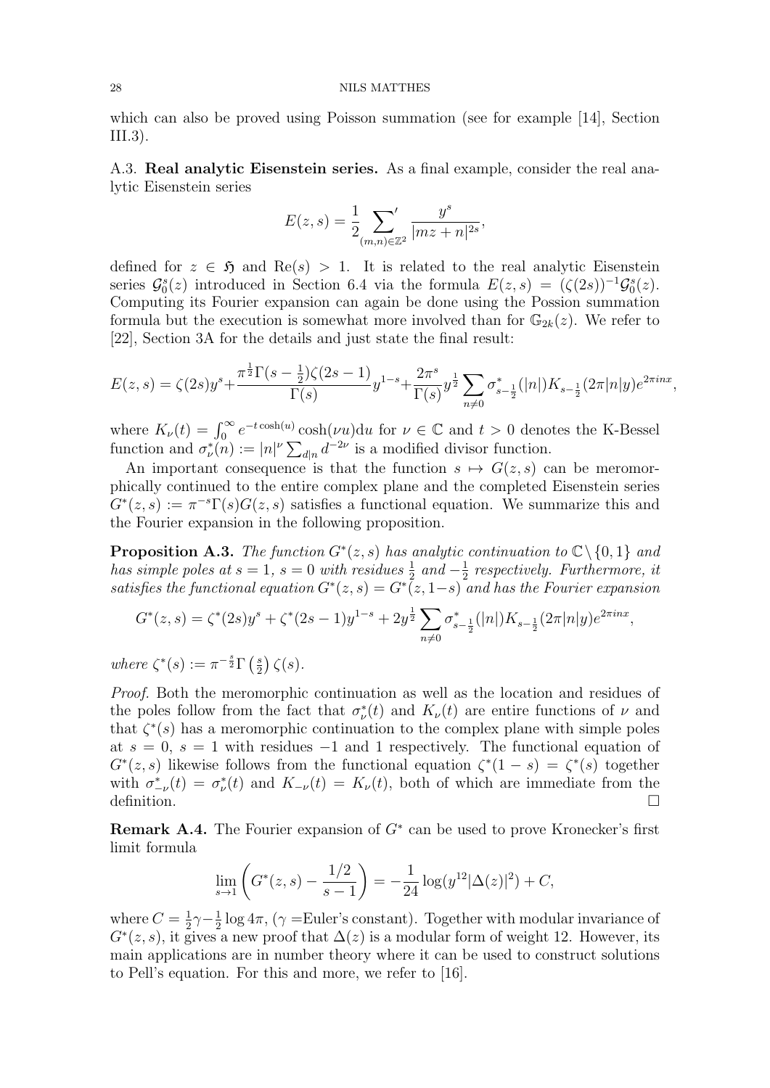which can also be proved using Poisson summation (see for example [14], Section III.3).

A.3. Real analytic Eisenstein series. As a final example, consider the real analytic Eisenstein series

$$
E(z,s) = \frac{1}{2} \sum_{(m,n) \in \mathbb{Z}^2} \frac{y^s}{|mz + n|^{2s}},
$$

defined for  $z \in \mathfrak{H}$  and  $\text{Re}(s) > 1$ . It is related to the real analytic Eisenstein series  $\mathcal{G}_0^s(z)$  introduced in Section 6.4 via the formula  $E(z,s) = (\zeta(2s))^{-1} \mathcal{G}_0^s(z)$ . Computing its Fourier expansion can again be done using the Possion summation formula but the execution is somewhat more involved than for  $\mathbb{G}_{2k}(z)$ . We refer to [22], Section 3A for the details and just state the final result:

$$
E(z,s) = \zeta(2s)y^{s} + \frac{\pi^{\frac{1}{2}}\Gamma(s-\frac{1}{2})\zeta(2s-1)}{\Gamma(s)}y^{1-s} + \frac{2\pi^{s}}{\Gamma(s)}y^{\frac{1}{2}}\sum_{n\neq 0}\sigma_{s-\frac{1}{2}}^{*}(|n|)K_{s-\frac{1}{2}}(2\pi|n|y)e^{2\pi inx},
$$

where  $K_{\nu}(t) = \int_0^{\infty} e^{-t \cosh(u)} \cosh(\nu u) du$  for  $\nu \in \mathbb{C}$  and  $t > 0$  denotes the K-Bessel where  $P_{\nu}(v) = \int_0^{\infty}$  cosm( $\nu$  a) dation  $\nu \in \mathbb{C}$  and  $i > 0$  denotes function.

An important consequence is that the function  $s \mapsto G(z, s)$  can be meromorphically continued to the entire complex plane and the completed Eisenstein series  $G^*(z, s) := \pi^{-s} \Gamma(s) G(z, s)$  satisfies a functional equation. We summarize this and the Fourier expansion in the following proposition.

**Proposition A.3.** The function  $G^*(z, s)$  has analytic continuation to  $\mathbb{C}\setminus\{0, 1\}$  and has simple poles at  $s = 1$ ,  $s = 0$  with residues  $\frac{1}{2}$  and  $-\frac{1}{2}$  $\frac{1}{2}$  respectively. Furthermore, it satisfies the functional equation  $G^*(z, s) = G^*(z, 1-s)$  and has the Fourier expansion

$$
G^*(z,s) = \zeta^*(2s)y^s + \zeta^*(2s-1)y^{1-s} + 2y^{\frac{1}{2}} \sum_{n \neq 0} \sigma_{s-\frac{1}{2}}^*(|n|)K_{s-\frac{1}{2}}(2\pi|n|y)e^{2\pi i nx},
$$

where  $\zeta^*(s) := \pi^{-\frac{s}{2}} \Gamma\left(\frac{s}{2}\right)$  $(\frac{s}{2})\zeta(s).$ 

Proof. Both the meromorphic continuation as well as the location and residues of the poles follow from the fact that  $\sigma^*_{\nu}(t)$  and  $K_{\nu}(t)$  are entire functions of  $\nu$  and that  $\zeta^*(s)$  has a meromorphic continuation to the complex plane with simple poles at  $s = 0$ ,  $s = 1$  with residues  $-1$  and 1 respectively. The functional equation of  $G^*(z, s)$  likewise follows from the functional equation  $\zeta^*(1-s) = \zeta^*(s)$  together with  $\sigma_{-\nu}^*(t) = \sigma_{\nu}^*(t)$  and  $K_{-\nu}(t) = K_{\nu}(t)$ , both of which are immediate from the definition.  $\Box$ 

**Remark A.4.** The Fourier expansion of  $G^*$  can be used to prove Kronecker's first limit formula

$$
\lim_{s \to 1} \left( G^*(z, s) - \frac{1/2}{s - 1} \right) = -\frac{1}{24} \log(y^{12} |\Delta(z)|^2) + C,
$$

where  $C=\frac{1}{2}$  $\frac{1}{2}\gamma - \frac{1}{2}$  $\frac{1}{2}$  log 4 $\pi$ , ( $\gamma$  =Euler's constant). Together with modular invariance of  $G<sup>*</sup>(z, s)$ , it gives a new proof that  $\Delta(z)$  is a modular form of weight 12. However, its main applications are in number theory where it can be used to construct solutions to Pell's equation. For this and more, we refer to [16].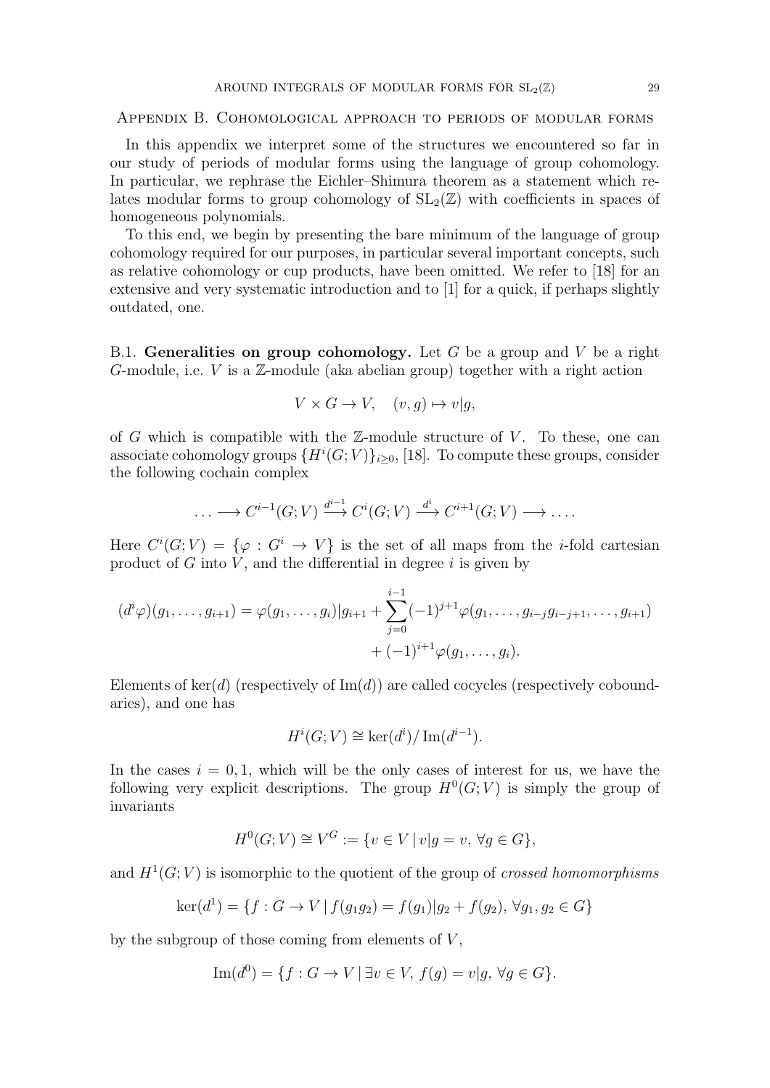Appendix B. Cohomological approach to periods of modular forms

In this appendix we interpret some of the structures we encountered so far in our study of periods of modular forms using the language of group cohomology. In particular, we rephrase the Eichler–Shimura theorem as a statement which relates modular forms to group cohomology of  $SL_2(\mathbb{Z})$  with coefficients in spaces of homogeneous polynomials.

To this end, we begin by presenting the bare minimum of the language of group cohomology required for our purposes, in particular several important concepts, such as relative cohomology or cup products, have been omitted. We refer to [18] for an extensive and very systematic introduction and to [1] for a quick, if perhaps slightly outdated, one.

B.1. Generalities on group cohomology. Let  $G$  be a group and  $V$  be a right G-module, i.e. V is a  $\mathbb{Z}$ -module (aka abelian group) together with a right action

$$
V \times G \to V, \quad (v, g) \mapsto v|g,
$$

of G which is compatible with the  $\mathbb{Z}$ -module structure of V. To these, one can associate cohomology groups  $\{H^i(G;V)\}_{i\geq 0}$ , [18]. To compute these groups, consider the following cochain complex

$$
\ldots \longrightarrow C^{i-1}(G;V) \xrightarrow{d^{i-1}} C^i(G;V) \xrightarrow{d^i} C^{i+1}(G;V) \longrightarrow \ldots
$$

Here  $C^i(G;V) = {\varphi : G^i \to V}$  is the set of all maps from the *i*-fold cartesian product of  $G$  into  $V$ , and the differential in degree  $i$  is given by

$$
(d^{i}\varphi)(g_1,\ldots,g_{i+1}) = \varphi(g_1,\ldots,g_i)|g_{i+1} + \sum_{j=0}^{i-1} (-1)^{j+1} \varphi(g_1,\ldots,g_{i-j}g_{i-j+1},\ldots,g_{i+1}) + (-1)^{i+1} \varphi(g_1,\ldots,g_i).
$$

Elements of  $\ker(d)$  (respectively of  $\text{Im}(d)$ ) are called cocycles (respectively coboundaries), and one has

$$
H^i(G;V) \cong \ker(d^i)/\operatorname{Im}(d^{i-1}).
$$

In the cases  $i = 0, 1$ , which will be the only cases of interest for us, we have the following very explicit descriptions. The group  $H^0(G; V)$  is simply the group of invariants

$$
H^0(G;V) \cong V^G := \{ v \in V \mid v | g = v, \,\forall g \in G \},
$$

and  $H<sup>1</sup>(G; V)$  is isomorphic to the quotient of the group of *crossed homomorphisms* 

$$
\ker(d^1) = \{ f : G \to V \mid f(g_1g_2) = f(g_1)|g_2 + f(g_2), \forall g_1, g_2 \in G \}
$$

by the subgroup of those coming from elements of  $V$ ,

$$
\operatorname{Im}(d^0) = \{ f : G \to V \mid \exists v \in V, f(g) = v | g, \forall g \in G \}.
$$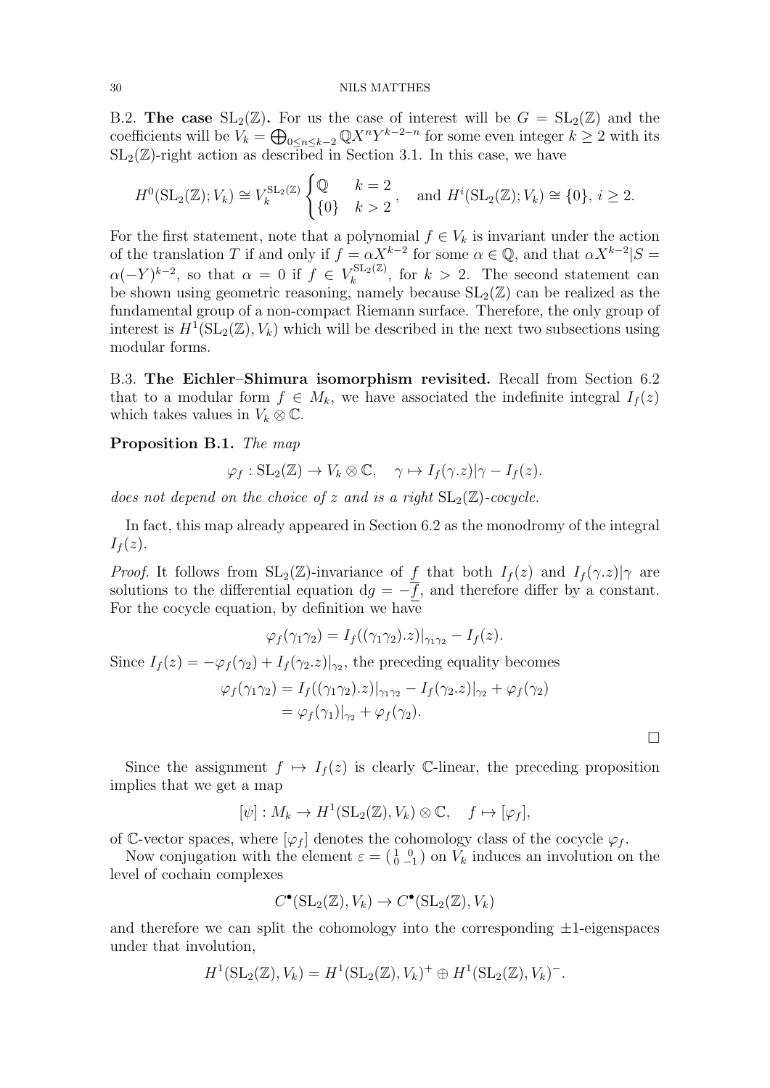B.2. The case  $SL_2(\mathbb{Z})$ . For us the case of interest will be  $G = SL_2(\mathbb{Z})$  and the coefficients will be  $V_k = \bigoplus_{0 \leq n \leq k-2} \mathbb{Q} X^n Y^{k-2-n}$  for some even integer  $k \geq 2$  with its  $SL_2(\mathbb{Z})$ -right action as described in Section 3.1. In this case, we have

$$
H^0(\mathrm{SL}_2(\mathbb{Z}); V_k) \cong V_k^{\mathrm{SL}_2(\mathbb{Z})} \begin{cases} \mathbb{Q} & k=2\\ \{0\} & k>2 \end{cases}
$$
, and  $H^i(\mathrm{SL}_2(\mathbb{Z}); V_k) \cong \{0\}, i \ge 2$ .

For the first statement, note that a polynomial  $f \in V_k$  is invariant under the action of the translation T if and only if  $f = \alpha X^{k-2}$  for some  $\alpha \in \mathbb{Q}$ , and that  $\alpha X^{k-2} | S =$  $\alpha(-Y)^{k-2}$ , so that  $\alpha = 0$  if  $f \in V_k^{\text{SL}_2(\mathbb{Z})}$  $\kappa_k^{\text{SL}_2(\mathbb{Z})}$ , for  $k > 2$ . The second statement can be shown using geometric reasoning, namely because  $SL_2(\mathbb{Z})$  can be realized as the fundamental group of a non-compact Riemann surface. Therefore, the only group of interest is  $H^1(\mathrm{SL}_2(\mathbb{Z}), V_k)$  which will be described in the next two subsections using modular forms.

B.3. The Eichler–Shimura isomorphism revisited. Recall from Section 6.2 that to a modular form  $f \in M_k$ , we have associated the indefinite integral  $I_f(z)$ which takes values in  $V_k \otimes \mathbb{C}$ .

Proposition B.1. The map

$$
\varphi_f: SL_2(\mathbb{Z}) \to V_k \otimes \mathbb{C}, \quad \gamma \mapsto I_f(\gamma.z)|\gamma - I_f(z).
$$

does not depend on the choice of z and is a right  $SL_2(\mathbb{Z})$ -cocycle.

In fact, this map already appeared in Section 6.2 as the monodromy of the integral  $I_f(z)$ .

*Proof.* It follows from  $SL_2(\mathbb{Z})$ -invariance of f that both  $I_f(z)$  and  $I_f(\gamma,z)|\gamma$  are solutions to the differential equation  $dg = -\overline{f}$ , and therefore differ by a constant. For the cocycle equation, by definition we have

$$
\varphi_f(\gamma_1\gamma_2) = I_f((\gamma_1\gamma_2).z)|_{\gamma_1\gamma_2} - I_f(z).
$$

Since  $I_f(z) = -\varphi_f(\gamma_2) + I_f(\gamma_2, z)|_{\gamma_2}$ , the preceding equality becomes

$$
\varphi_f(\gamma_1 \gamma_2) = I_f((\gamma_1 \gamma_2).z)|_{\gamma_1 \gamma_2} - I_f(\gamma_2.z)|_{\gamma_2} + \varphi_f(\gamma_2)
$$
  
=  $\varphi_f(\gamma_1)|_{\gamma_2} + \varphi_f(\gamma_2).$ 

 $\Box$ 

Since the assignment  $f \mapsto I_f(z)$  is clearly C-linear, the preceding proposition implies that we get a map

$$
[\psi]: M_k \to H^1(\mathrm{SL}_2(\mathbb{Z}), V_k) \otimes \mathbb{C}, \quad f \mapsto [\varphi_f],
$$

of C-vector spaces, where  $[\varphi_f]$  denotes the cohomology class of the cocycle  $\varphi_f$ .

Now conjugation with the element  $\varepsilon = \begin{pmatrix} 1 & 0 \\ 0 & -1 \end{pmatrix}$  on  $V_k$  induces an involution on the level of cochain complexes

$$
C^{\bullet}(\mathrm{SL}_2(\mathbb{Z}), V_k) \to C^{\bullet}(\mathrm{SL}_2(\mathbb{Z}), V_k)
$$

and therefore we can split the cohomology into the corresponding  $\pm 1$ -eigenspaces under that involution,

$$
H^1(\mathrm{SL}_2(\mathbb{Z}), V_k) = H^1(\mathrm{SL}_2(\mathbb{Z}), V_k)^+ \oplus H^1(\mathrm{SL}_2(\mathbb{Z}), V_k)^-.
$$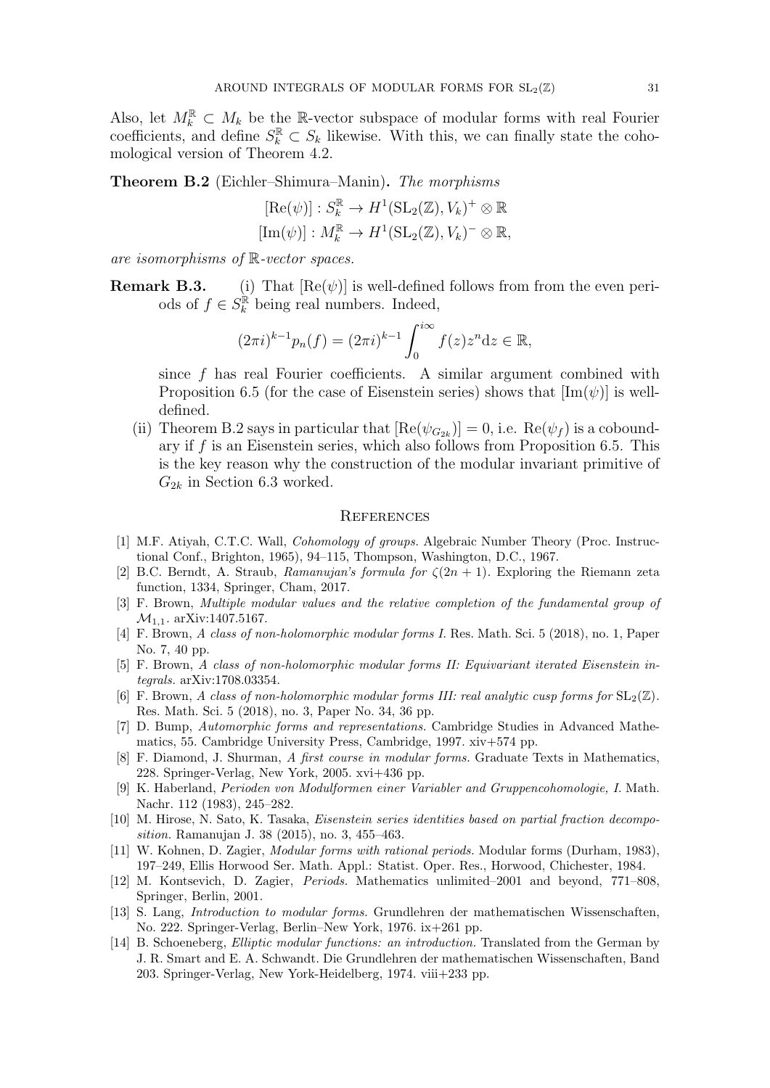Also, let  $M_k^{\mathbb{R}} \subset M_k$  be the R-vector subspace of modular forms with real Fourier coefficients, and define  $S_k^{\mathbb{R}} \subset S_k$  likewise. With this, we can finally state the cohomological version of Theorem 4.2.

**Theorem B.2** (Eichler–Shimura–Manin). The morphisms

$$
[\text{Re}(\psi)]: S_k^{\mathbb{R}} \to H^1(\text{SL}_2(\mathbb{Z}), V_k)^+ \otimes \mathbb{R}
$$
  

$$
[\text{Im}(\psi)]: M_k^{\mathbb{R}} \to H^1(\text{SL}_2(\mathbb{Z}), V_k)^- \otimes \mathbb{R},
$$

are isomorphisms of R-vector spaces.

**Remark B.3.** (i) That  $[Re(\psi)]$  is well-defined follows from from the even periods of  $f \in S_k^{\mathbb{R}}$  being real numbers. Indeed,

$$
(2\pi i)^{k-1}p_n(f) = (2\pi i)^{k-1} \int_0^{i\infty} f(z)z^n dz \in \mathbb{R},
$$

since f has real Fourier coefficients. A similar argument combined with Proposition 6.5 (for the case of Eisenstein series) shows that  $[\text{Im}(\psi)]$  is welldefined.

(ii) Theorem B.2 says in particular that  $[Re(\psi_{G_{2k}})] = 0$ , i.e.  $Re(\psi_f)$  is a coboundary if  $f$  is an Eisenstein series, which also follows from Proposition 6.5. This is the key reason why the construction of the modular invariant primitive of  $G_{2k}$  in Section 6.3 worked.

### **REFERENCES**

- [1] M.F. Atiyah, C.T.C. Wall, Cohomology of groups. Algebraic Number Theory (Proc. Instructional Conf., Brighton, 1965), 94–115, Thompson, Washington, D.C., 1967.
- [2] B.C. Berndt, A. Straub, Ramanujan's formula for  $\zeta(2n+1)$ . Exploring the Riemann zeta function, 1334, Springer, Cham, 2017.
- [3] F. Brown, Multiple modular values and the relative completion of the fundamental group of  $\mathcal{M}_{1,1}$ . arXiv:1407.5167.
- [4] F. Brown, A class of non-holomorphic modular forms I. Res. Math. Sci. 5 (2018), no. 1, Paper No. 7, 40 pp.
- [5] F. Brown, A class of non-holomorphic modular forms II: Equivariant iterated Eisenstein integrals. arXiv:1708.03354.
- [6] F. Brown, A class of non-holomorphic modular forms III: real analytic cusp forms for  $SL_2(\mathbb{Z})$ . Res. Math. Sci. 5 (2018), no. 3, Paper No. 34, 36 pp.
- [7] D. Bump, Automorphic forms and representations. Cambridge Studies in Advanced Mathematics, 55. Cambridge University Press, Cambridge, 1997. xiv+574 pp.
- [8] F. Diamond, J. Shurman, A first course in modular forms. Graduate Texts in Mathematics, 228. Springer-Verlag, New York, 2005. xvi+436 pp.
- [9] K. Haberland, Perioden von Modulformen einer Variabler and Gruppencohomologie, I. Math. Nachr. 112 (1983), 245–282.
- [10] M. Hirose, N. Sato, K. Tasaka, Eisenstein series identities based on partial fraction decomposition. Ramanujan J. 38 (2015), no. 3, 455–463.
- [11] W. Kohnen, D. Zagier, Modular forms with rational periods. Modular forms (Durham, 1983), 197–249, Ellis Horwood Ser. Math. Appl.: Statist. Oper. Res., Horwood, Chichester, 1984.
- [12] M. Kontsevich, D. Zagier, Periods. Mathematics unlimited–2001 and beyond, 771–808, Springer, Berlin, 2001.
- [13] S. Lang, Introduction to modular forms. Grundlehren der mathematischen Wissenschaften, No. 222. Springer-Verlag, Berlin–New York, 1976. ix+261 pp.
- [14] B. Schoeneberg, Elliptic modular functions: an introduction. Translated from the German by J. R. Smart and E. A. Schwandt. Die Grundlehren der mathematischen Wissenschaften, Band 203. Springer-Verlag, New York-Heidelberg, 1974. viii+233 pp.